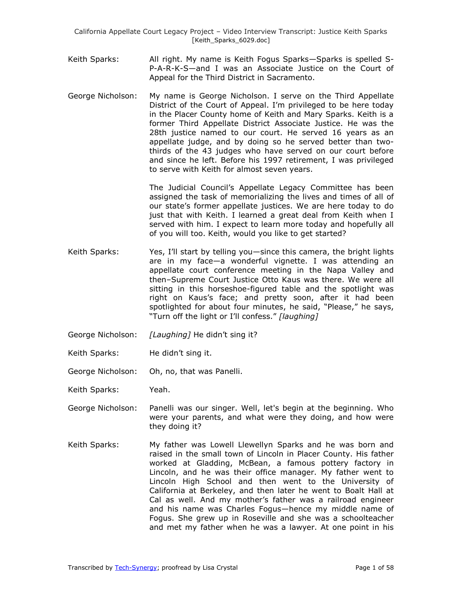- Keith Sparks: All right. My name is Keith Fogus Sparks—Sparks is spelled S-P-A-R-K-S—and I was an Associate Justice on the Court of Appeal for the Third District in Sacramento.
- George Nicholson: My name is George Nicholson. I serve on the Third Appellate District of the Court of Appeal. I'm privileged to be here today in the Placer County home of Keith and Mary Sparks. Keith is a former Third Appellate District Associate Justice. He was the 28th justice named to our court. He served 16 years as an appellate judge, and by doing so he served better than twothirds of the 43 judges who have served on our court before and since he left. Before his 1997 retirement, I was privileged to serve with Keith for almost seven years.

The Judicial Council's Appellate Legacy Committee has been assigned the task of memorializing the lives and times of all of our state's former appellate justices. We are here today to do just that with Keith. I learned a great deal from Keith when I served with him. I expect to learn more today and hopefully all of you will too. Keith, would you like to get started?

- Keith Sparks: Yes, I'll start by telling you—since this camera, the bright lights are in my face—a wonderful vignette. I was attending an appellate court conference meeting in the Napa Valley and then–Supreme Court Justice Otto Kaus was there. We were all sitting in this horseshoe-figured table and the spotlight was right on Kaus's face; and pretty soon, after it had been spotlighted for about four minutes, he said, "Please," he says, ―Turn off the light or I'll confess.‖ *[laughing]*
- George Nicholson: *[Laughing]* He didn't sing it?
- Keith Sparks: He didn't sing it.
- George Nicholson: Oh, no, that was Panelli.
- Keith Sparks: Yeah.
- George Nicholson: Panelli was our singer. Well, let's begin at the beginning. Who were your parents, and what were they doing, and how were they doing it?
- Keith Sparks: My father was Lowell Llewellyn Sparks and he was born and raised in the small town of Lincoln in Placer County. His father worked at Gladding, McBean, a famous pottery factory in Lincoln, and he was their office manager. My father went to Lincoln High School and then went to the University of California at Berkeley, and then later he went to Boalt Hall at Cal as well. And my mother's father was a railroad engineer and his name was Charles Fogus—hence my middle name of Fogus. She grew up in Roseville and she was a schoolteacher and met my father when he was a lawyer. At one point in his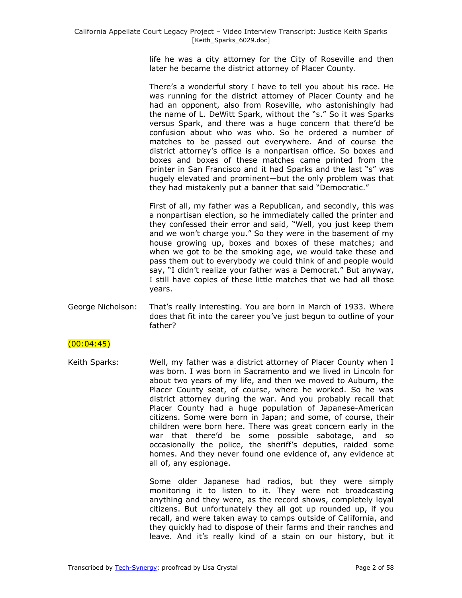life he was a city attorney for the City of Roseville and then later he became the district attorney of Placer County.

There's a wonderful story I have to tell you about his race. He was running for the district attorney of Placer County and he had an opponent, also from Roseville, who astonishingly had the name of L. DeWitt Spark, without the "s." So it was Sparks versus Spark, and there was a huge concern that there'd be confusion about who was who. So he ordered a number of matches to be passed out everywhere. And of course the district attorney's office is a nonpartisan office. So boxes and boxes and boxes of these matches came printed from the printer in San Francisco and it had Sparks and the last "s" was hugely elevated and prominent—but the only problem was that they had mistakenly put a banner that said "Democratic."

First of all, my father was a Republican, and secondly, this was a nonpartisan election, so he immediately called the printer and they confessed their error and said, "Well, you just keep them and we won't charge you." So they were in the basement of my house growing up, boxes and boxes of these matches; and when we got to be the smoking age, we would take these and pass them out to everybody we could think of and people would say, "I didn't realize your father was a Democrat." But anyway, I still have copies of these little matches that we had all those years.

George Nicholson: That's really interesting. You are born in March of 1933. Where does that fit into the career you've just begun to outline of your father?

### $(00:04:45)$

Keith Sparks: Well, my father was a district attorney of Placer County when I was born. I was born in Sacramento and we lived in Lincoln for about two years of my life, and then we moved to Auburn, the Placer County seat, of course, where he worked. So he was district attorney during the war. And you probably recall that Placer County had a huge population of Japanese-American citizens. Some were born in Japan; and some, of course, their children were born here. There was great concern early in the war that there'd be some possible sabotage, and so occasionally the police, the sheriff's deputies, raided some homes. And they never found one evidence of, any evidence at all of, any espionage.

> Some older Japanese had radios, but they were simply monitoring it to listen to it. They were not broadcasting anything and they were, as the record shows, completely loyal citizens. But unfortunately they all got up rounded up, if you recall, and were taken away to camps outside of California, and they quickly had to dispose of their farms and their ranches and leave. And it's really kind of a stain on our history, but it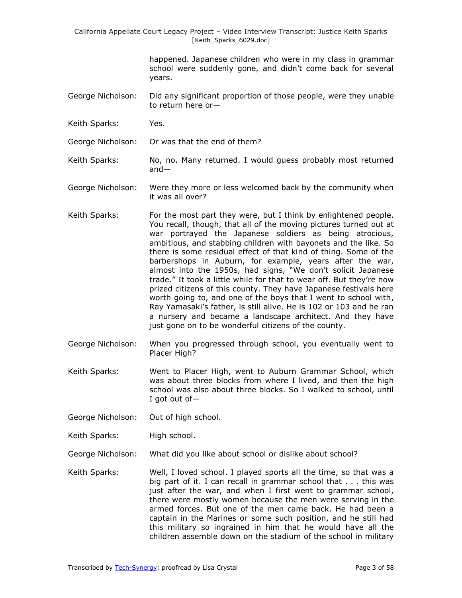happened. Japanese children who were in my class in grammar school were suddenly gone, and didn't come back for several years.

- George Nicholson: Did any significant proportion of those people, were they unable to return here or—
- Keith Sparks: Yes.
- George Nicholson: Or was that the end of them?
- Keith Sparks: No, no. Many returned. I would guess probably most returned and—
- George Nicholson: Were they more or less welcomed back by the community when it was all over?
- Keith Sparks: For the most part they were, but I think by enlightened people. You recall, though, that all of the moving pictures turned out at war portrayed the Japanese soldiers as being atrocious, ambitious, and stabbing children with bayonets and the like. So there is some residual effect of that kind of thing. Some of the barbershops in Auburn, for example, years after the war, almost into the 1950s, had signs, "We don't solicit Japanese trade." It took a little while for that to wear off. But they're now prized citizens of this county. They have Japanese festivals here worth going to, and one of the boys that I went to school with, Ray Yamasaki's father, is still alive. He is 102 or 103 and he ran a nursery and became a landscape architect. And they have just gone on to be wonderful citizens of the county.
- George Nicholson: When you progressed through school, you eventually went to Placer High?
- Keith Sparks: Went to Placer High, went to Auburn Grammar School, which was about three blocks from where I lived, and then the high school was also about three blocks. So I walked to school, until I got out of—
- George Nicholson: Out of high school.
- Keith Sparks: High school.
- George Nicholson: What did you like about school or dislike about school?
- Keith Sparks: Well, I loved school. I played sports all the time, so that was a big part of it. I can recall in grammar school that . . . this was just after the war, and when I first went to grammar school, there were mostly women because the men were serving in the armed forces. But one of the men came back. He had been a captain in the Marines or some such position, and he still had this military so ingrained in him that he would have all the children assemble down on the stadium of the school in military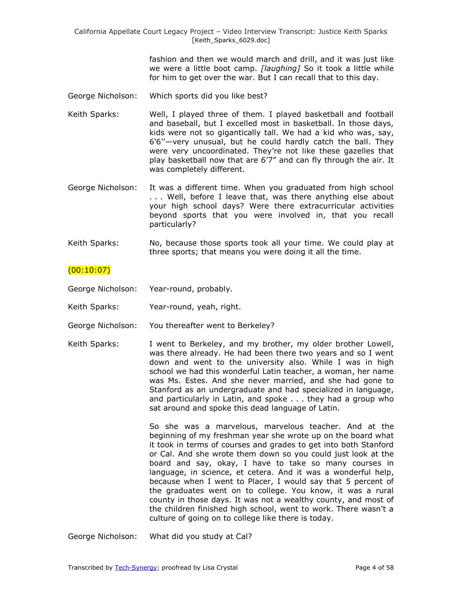fashion and then we would march and drill, and it was just like we were a little boot camp. *[laughing]* So it took a little while for him to get over the war. But I can recall that to this day.

- George Nicholson: Which sports did you like best?
- Keith Sparks: Well, I played three of them. I played basketball and football and baseball, but I excelled most in basketball. In those days, kids were not so gigantically tall. We had a kid who was, say, 6'6''—very unusual, but he could hardly catch the ball. They were very uncoordinated. They're not like these gazelles that play basketball now that are 6'7" and can fly through the air. It was completely different.
- George Nicholson: It was a different time. When you graduated from high school . . . Well, before I leave that, was there anything else about your high school days? Were there extracurricular activities beyond sports that you were involved in, that you recall particularly?
- Keith Sparks: No, because those sports took all your time. We could play at three sports; that means you were doing it all the time.

### $(00:10:07)$

- George Nicholson: Year-round, probably.
- Keith Sparks: Year-round, yeah, right.
- George Nicholson: You thereafter went to Berkeley?
- Keith Sparks: I went to Berkeley, and my brother, my older brother Lowell, was there already. He had been there two years and so I went down and went to the university also. While I was in high school we had this wonderful Latin teacher, a woman, her name was Ms. Estes. And she never married, and she had gone to Stanford as an undergraduate and had specialized in language, and particularly in Latin, and spoke . . . they had a group who sat around and spoke this dead language of Latin.

So she was a marvelous, marvelous teacher. And at the beginning of my freshman year she wrote up on the board what it took in terms of courses and grades to get into both Stanford or Cal. And she wrote them down so you could just look at the board and say, okay, I have to take so many courses in language, in science, et cetera. And it was a wonderful help, because when I went to Placer, I would say that 5 percent of the graduates went on to college. You know, it was a rural county in those days. It was not a wealthy county, and most of the children finished high school, went to work. There wasn't a culture of going on to college like there is today.

George Nicholson: What did you study at Cal?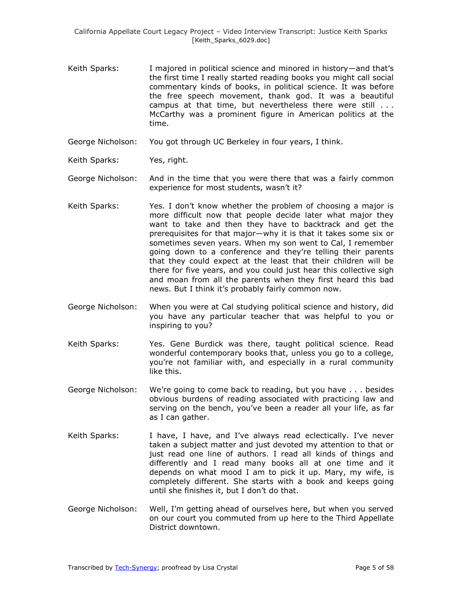- Keith Sparks: I majored in political science and minored in history—and that's the first time I really started reading books you might call social commentary kinds of books, in political science. It was before the free speech movement, thank god. It was a beautiful campus at that time, but nevertheless there were still . . . McCarthy was a prominent figure in American politics at the time.
- George Nicholson: You got through UC Berkeley in four years, I think.
- Keith Sparks: Yes, right.

George Nicholson: And in the time that you were there that was a fairly common experience for most students, wasn't it?

- Keith Sparks: Yes. I don't know whether the problem of choosing a major is more difficult now that people decide later what major they want to take and then they have to backtrack and get the prerequisites for that major—why it is that it takes some six or sometimes seven years. When my son went to Cal, I remember going down to a conference and they're telling their parents that they could expect at the least that their children will be there for five years, and you could just hear this collective sigh and moan from all the parents when they first heard this bad news. But I think it's probably fairly common now.
- George Nicholson: When you were at Cal studying political science and history, did you have any particular teacher that was helpful to you or inspiring to you?
- Keith Sparks: Yes. Gene Burdick was there, taught political science. Read wonderful contemporary books that, unless you go to a college, you're not familiar with, and especially in a rural community like this.
- George Nicholson: We're going to come back to reading, but you have . . . besides obvious burdens of reading associated with practicing law and serving on the bench, you've been a reader all your life, as far as I can gather.
- Keith Sparks: I have, I have, and I've always read eclectically. I've never taken a subject matter and just devoted my attention to that or just read one line of authors. I read all kinds of things and differently and I read many books all at one time and it depends on what mood I am to pick it up. Mary, my wife, is completely different. She starts with a book and keeps going until she finishes it, but I don't do that.
- George Nicholson: Well, I'm getting ahead of ourselves here, but when you served on our court you commuted from up here to the Third Appellate District downtown.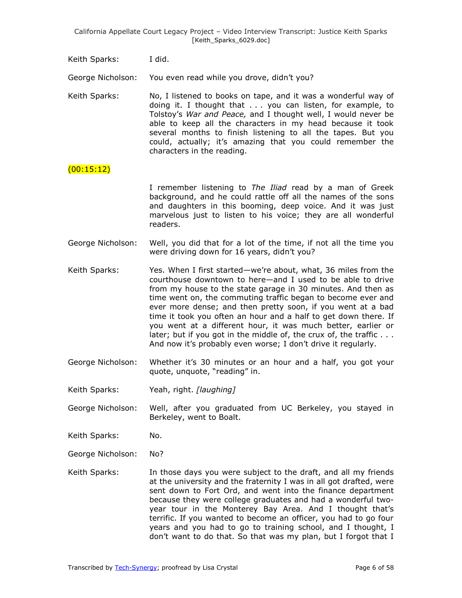Keith Sparks: I did.

George Nicholson: You even read while you drove, didn't you?

Keith Sparks: No, I listened to books on tape, and it was a wonderful way of doing it. I thought that . . . you can listen, for example, to Tolstoy's *War and Peace,* and I thought well, I would never be able to keep all the characters in my head because it took several months to finish listening to all the tapes. But you could, actually; it's amazing that you could remember the characters in the reading.

### (00:15:12)

I remember listening to *The Iliad* read by a man of Greek background, and he could rattle off all the names of the sons and daughters in this booming, deep voice. And it was just marvelous just to listen to his voice; they are all wonderful readers.

- George Nicholson: Well, you did that for a lot of the time, if not all the time you were driving down for 16 years, didn't you?
- Keith Sparks: Yes. When I first started—we're about, what, 36 miles from the courthouse downtown to here—and I used to be able to drive from my house to the state garage in 30 minutes. And then as time went on, the commuting traffic began to become ever and ever more dense; and then pretty soon, if you went at a bad time it took you often an hour and a half to get down there. If you went at a different hour, it was much better, earlier or later; but if you got in the middle of, the crux of, the traffic . . . And now it's probably even worse; I don't drive it regularly.
- George Nicholson: Whether it's 30 minutes or an hour and a half, you got your quote, unquote, "reading" in.
- Keith Sparks: Yeah, right. *[laughing]*
- George Nicholson: Well, after you graduated from UC Berkeley, you stayed in Berkeley, went to Boalt.
- Keith Sparks: No.
- George Nicholson: No?
- Keith Sparks: In those days you were subject to the draft, and all my friends at the university and the fraternity I was in all got drafted, were sent down to Fort Ord, and went into the finance department because they were college graduates and had a wonderful twoyear tour in the Monterey Bay Area. And I thought that's terrific. If you wanted to become an officer, you had to go four years and you had to go to training school, and I thought, I don't want to do that. So that was my plan, but I forgot that I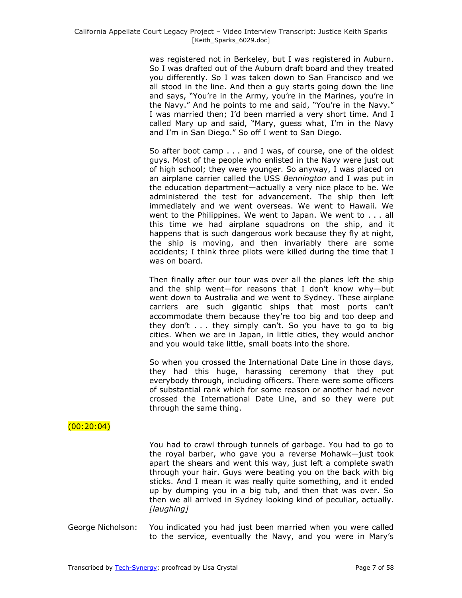was registered not in Berkeley, but I was registered in Auburn. So I was drafted out of the Auburn draft board and they treated you differently. So I was taken down to San Francisco and we all stood in the line. And then a guy starts going down the line and says, "You're in the Army, you're in the Marines, you're in the Navy." And he points to me and said, "You're in the Navy." I was married then; I'd been married a very short time. And I called Mary up and said, "Mary, guess what, I'm in the Navy and I'm in San Diego." So off I went to San Diego.

So after boot camp . . . and I was, of course, one of the oldest guys. Most of the people who enlisted in the Navy were just out of high school; they were younger. So anyway, I was placed on an airplane carrier called the USS *Bennington* and I was put in the education department—actually a very nice place to be. We administered the test for advancement. The ship then left immediately and we went overseas. We went to Hawaii. We went to the Philippines. We went to Japan. We went to . . . all this time we had airplane squadrons on the ship, and it happens that is such dangerous work because they fly at night, the ship is moving, and then invariably there are some accidents; I think three pilots were killed during the time that I was on board.

Then finally after our tour was over all the planes left the ship and the ship went—for reasons that I don't know why—but went down to Australia and we went to Sydney. These airplane carriers are such gigantic ships that most ports can't accommodate them because they're too big and too deep and they don't . . . they simply can't. So you have to go to big cities. When we are in Japan, in little cities, they would anchor and you would take little, small boats into the shore.

So when you crossed the International Date Line in those days, they had this huge, harassing ceremony that they put everybody through, including officers. There were some officers of substantial rank which for some reason or another had never crossed the International Date Line, and so they were put through the same thing.

### $(00:20:04)$

You had to crawl through tunnels of garbage. You had to go to the royal barber, who gave you a reverse Mohawk—just took apart the shears and went this way, just left a complete swath through your hair. Guys were beating you on the back with big sticks. And I mean it was really quite something, and it ended up by dumping you in a big tub, and then that was over. So then we all arrived in Sydney looking kind of peculiar, actually. *[laughing]*

George Nicholson: You indicated you had just been married when you were called to the service, eventually the Navy, and you were in Mary's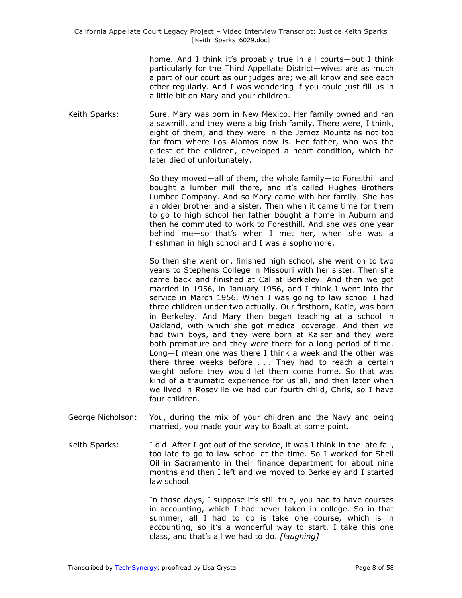home. And I think it's probably true in all courts—but I think particularly for the Third Appellate District—wives are as much a part of our court as our judges are; we all know and see each other regularly. And I was wondering if you could just fill us in a little bit on Mary and your children.

Keith Sparks: Sure. Mary was born in New Mexico. Her family owned and ran a sawmill, and they were a big Irish family. There were, I think, eight of them, and they were in the Jemez Mountains not too far from where Los Alamos now is. Her father, who was the oldest of the children, developed a heart condition, which he later died of unfortunately.

> So they moved—all of them, the whole family—to Foresthill and bought a lumber mill there, and it's called Hughes Brothers Lumber Company. And so Mary came with her family. She has an older brother and a sister. Then when it came time for them to go to high school her father bought a home in Auburn and then he commuted to work to Foresthill. And she was one year behind me—so that's when I met her, when she was a freshman in high school and I was a sophomore.

> So then she went on, finished high school, she went on to two years to Stephens College in Missouri with her sister. Then she came back and finished at Cal at Berkeley. And then we got married in 1956, in January 1956, and I think I went into the service in March 1956. When I was going to law school I had three children under two actually. Our firstborn, Katie, was born in Berkeley. And Mary then began teaching at a school in Oakland, with which she got medical coverage. And then we had twin boys, and they were born at Kaiser and they were both premature and they were there for a long period of time. Long—I mean one was there I think a week and the other was there three weeks before . . . They had to reach a certain weight before they would let them come home. So that was kind of a traumatic experience for us all, and then later when we lived in Roseville we had our fourth child, Chris, so I have four children.

- George Nicholson: You, during the mix of your children and the Navy and being married, you made your way to Boalt at some point.
- Keith Sparks: I did. After I got out of the service, it was I think in the late fall, too late to go to law school at the time. So I worked for Shell Oil in Sacramento in their finance department for about nine months and then I left and we moved to Berkeley and I started law school.

In those days, I suppose it's still true, you had to have courses in accounting, which I had never taken in college. So in that summer, all I had to do is take one course, which is in accounting, so it's a wonderful way to start. I take this one class, and that's all we had to do. *[laughing]*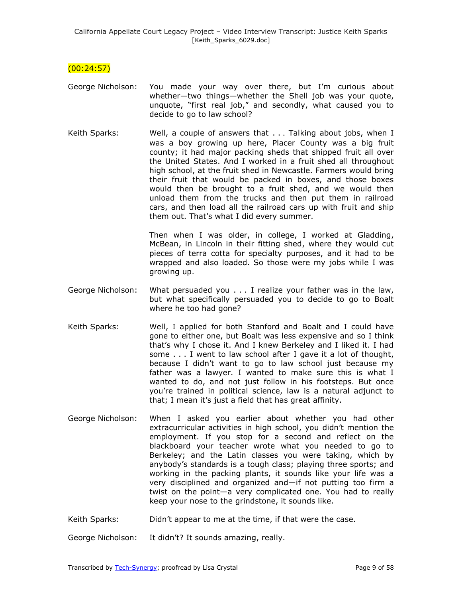$(00:24:57)$ 

- George Nicholson: You made your way over there, but I'm curious about whether—two things—whether the Shell job was your quote, unquote, "first real job," and secondly, what caused you to decide to go to law school?
- Keith Sparks: Well, a couple of answers that . . . Talking about jobs, when I was a boy growing up here, Placer County was a big fruit county; it had major packing sheds that shipped fruit all over the United States. And I worked in a fruit shed all throughout high school, at the fruit shed in Newcastle. Farmers would bring their fruit that would be packed in boxes, and those boxes would then be brought to a fruit shed, and we would then unload them from the trucks and then put them in railroad cars, and then load all the railroad cars up with fruit and ship them out. That's what I did every summer.

Then when I was older, in college, I worked at Gladding, McBean, in Lincoln in their fitting shed, where they would cut pieces of terra cotta for specialty purposes, and it had to be wrapped and also loaded. So those were my jobs while I was growing up.

- George Nicholson: What persuaded you . . . I realize your father was in the law, but what specifically persuaded you to decide to go to Boalt where he too had gone?
- Keith Sparks: Well, I applied for both Stanford and Boalt and I could have gone to either one, but Boalt was less expensive and so I think that's why I chose it. And I knew Berkeley and I liked it. I had some . . . I went to law school after I gave it a lot of thought, because I didn't want to go to law school just because my father was a lawyer. I wanted to make sure this is what I wanted to do, and not just follow in his footsteps. But once you're trained in political science, law is a natural adjunct to that; I mean it's just a field that has great affinity.
- George Nicholson: When I asked you earlier about whether you had other extracurricular activities in high school, you didn't mention the employment. If you stop for a second and reflect on the blackboard your teacher wrote what you needed to go to Berkeley; and the Latin classes you were taking, which by anybody's standards is a tough class; playing three sports; and working in the packing plants, it sounds like your life was a very disciplined and organized and—if not putting too firm a twist on the point—a very complicated one. You had to really keep your nose to the grindstone, it sounds like.
- Keith Sparks: Didn't appear to me at the time, if that were the case.

George Nicholson: It didn't? It sounds amazing, really.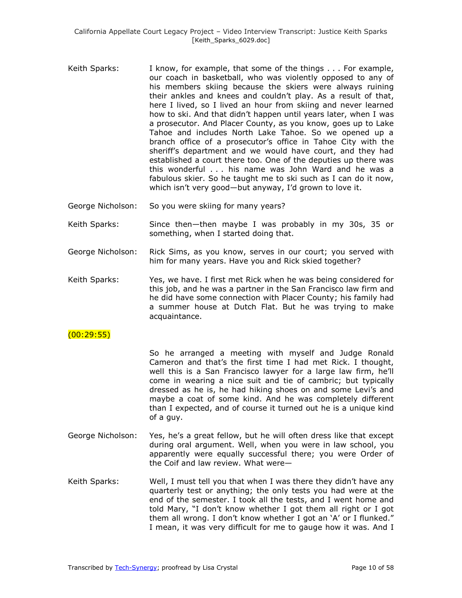- Keith Sparks: I know, for example, that some of the things . . . For example, our coach in basketball, who was violently opposed to any of his members skiing because the skiers were always ruining their ankles and knees and couldn't play. As a result of that, here I lived, so I lived an hour from skiing and never learned how to ski. And that didn't happen until years later, when I was a prosecutor. And Placer County, as you know, goes up to Lake Tahoe and includes North Lake Tahoe. So we opened up a branch office of a prosecutor's office in Tahoe City with the sheriff's department and we would have court, and they had established a court there too. One of the deputies up there was this wonderful . . . his name was John Ward and he was a fabulous skier. So he taught me to ski such as I can do it now, which isn't very good—but anyway, I'd grown to love it.
- George Nicholson: So you were skiing for many years?
- Keith Sparks: Since then—then maybe I was probably in my 30s, 35 or something, when I started doing that.
- George Nicholson: Rick Sims, as you know, serves in our court; you served with him for many years. Have you and Rick skied together?
- Keith Sparks: Yes, we have. I first met Rick when he was being considered for this job, and he was a partner in the San Francisco law firm and he did have some connection with Placer County; his family had a summer house at Dutch Flat. But he was trying to make acquaintance.

# $(00:29:55)$

So he arranged a meeting with myself and Judge Ronald Cameron and that's the first time I had met Rick. I thought, well this is a San Francisco lawyer for a large law firm, he'll come in wearing a nice suit and tie of cambric; but typically dressed as he is, he had hiking shoes on and some Levi's and maybe a coat of some kind. And he was completely different than I expected, and of course it turned out he is a unique kind of a guy.

- George Nicholson: Yes, he's a great fellow, but he will often dress like that except during oral argument. Well, when you were in law school, you apparently were equally successful there; you were Order of the Coif and law review. What were—
- Keith Sparks: Well, I must tell you that when I was there they didn't have any quarterly test or anything; the only tests you had were at the end of the semester. I took all the tests, and I went home and told Mary, "I don't know whether I got them all right or I got them all wrong. I don't know whether I got an 'A' or I flunked." I mean, it was very difficult for me to gauge how it was. And I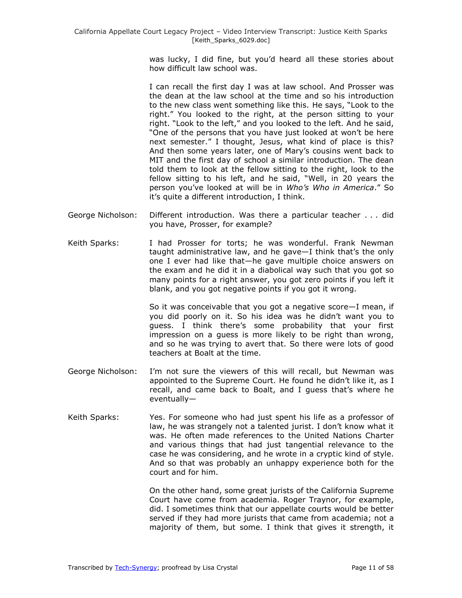was lucky, I did fine, but you'd heard all these stories about how difficult law school was.

I can recall the first day I was at law school. And Prosser was the dean at the law school at the time and so his introduction to the new class went something like this. He says, "Look to the right." You looked to the right, at the person sitting to your right. "Look to the left," and you looked to the left. And he said, "One of the persons that you have just looked at won't be here next semester." I thought, Jesus, what kind of place is this? And then some years later, one of Mary's cousins went back to MIT and the first day of school a similar introduction. The dean told them to look at the fellow sitting to the right, look to the fellow sitting to his left, and he said, "Well, in 20 years the person you've looked at will be in *Who's Who in America*.‖ So it's quite a different introduction, I think.

- George Nicholson: Different introduction. Was there a particular teacher . . . did you have, Prosser, for example?
- Keith Sparks: I had Prosser for torts; he was wonderful. Frank Newman taught administrative law, and he gave—I think that's the only one I ever had like that—he gave multiple choice answers on the exam and he did it in a diabolical way such that you got so many points for a right answer, you got zero points if you left it blank, and you got negative points if you got it wrong.

So it was conceivable that you got a negative score—I mean, if you did poorly on it. So his idea was he didn't want you to guess. I think there's some probability that your first impression on a guess is more likely to be right than wrong, and so he was trying to avert that. So there were lots of good teachers at Boalt at the time.

- George Nicholson: I'm not sure the viewers of this will recall, but Newman was appointed to the Supreme Court. He found he didn't like it, as I recall, and came back to Boalt, and I guess that's where he eventually—
- Keith Sparks: Yes. For someone who had just spent his life as a professor of law, he was strangely not a talented jurist. I don't know what it was. He often made references to the United Nations Charter and various things that had just tangential relevance to the case he was considering, and he wrote in a cryptic kind of style. And so that was probably an unhappy experience both for the court and for him.

On the other hand, some great jurists of the California Supreme Court have come from academia. Roger Traynor, for example, did. I sometimes think that our appellate courts would be better served if they had more jurists that came from academia; not a majority of them, but some. I think that gives it strength, it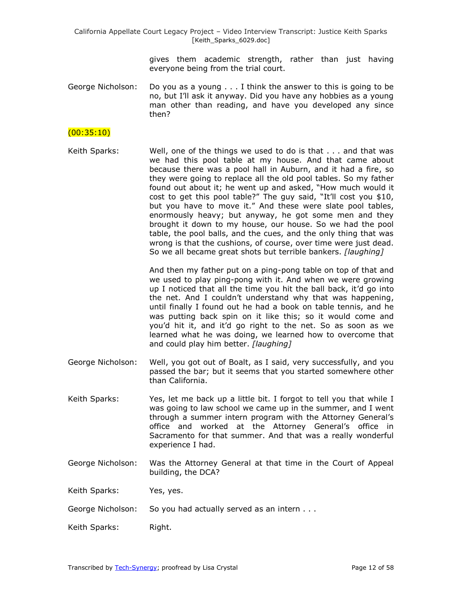> gives them academic strength, rather than just having everyone being from the trial court.

George Nicholson: Do you as a young . . . I think the answer to this is going to be no, but I'll ask it anyway. Did you have any hobbies as a young man other than reading, and have you developed any since then?

### $(00:35:10)$

Keith Sparks: Well, one of the things we used to do is that . . . and that was we had this pool table at my house. And that came about because there was a pool hall in Auburn, and it had a fire, so they were going to replace all the old pool tables. So my father found out about it; he went up and asked, "How much would it cost to get this pool table?" The guy said, "It'll cost you \$10, but you have to move it." And these were slate pool tables, enormously heavy; but anyway, he got some men and they brought it down to my house, our house. So we had the pool table, the pool balls, and the cues, and the only thing that was wrong is that the cushions, of course, over time were just dead. So we all became great shots but terrible bankers. *[laughing]*

> And then my father put on a ping-pong table on top of that and we used to play ping-pong with it. And when we were growing up I noticed that all the time you hit the ball back, it'd go into the net. And I couldn't understand why that was happening, until finally I found out he had a book on table tennis, and he was putting back spin on it like this; so it would come and you'd hit it, and it'd go right to the net. So as soon as we learned what he was doing, we learned how to overcome that and could play him better. *[laughing]*

- George Nicholson: Well, you got out of Boalt, as I said, very successfully, and you passed the bar; but it seems that you started somewhere other than California.
- Keith Sparks: Yes, let me back up a little bit. I forgot to tell you that while I was going to law school we came up in the summer, and I went through a summer intern program with the Attorney General's office and worked at the Attorney General's office in Sacramento for that summer. And that was a really wonderful experience I had.
- George Nicholson: Was the Attorney General at that time in the Court of Appeal building, the DCA?

Keith Sparks: Yes, yes.

- George Nicholson: So you had actually served as an intern . . .
- Keith Sparks: Right.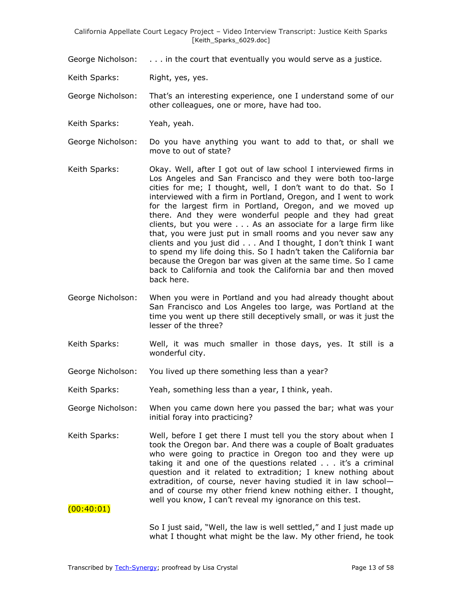George Nicholson: . . . in the court that eventually you would serve as a justice.

Keith Sparks: Right, yes, yes.

George Nicholson: That's an interesting experience, one I understand some of our other colleagues, one or more, have had too.

Keith Sparks: Yeah, yeah.

George Nicholson: Do you have anything you want to add to that, or shall we move to out of state?

- Keith Sparks: Okay. Well, after I got out of law school I interviewed firms in Los Angeles and San Francisco and they were both too-large cities for me; I thought, well, I don't want to do that. So I interviewed with a firm in Portland, Oregon, and I went to work for the largest firm in Portland, Oregon, and we moved up there. And they were wonderful people and they had great clients, but you were . . . As an associate for a large firm like that, you were just put in small rooms and you never saw any clients and you just did . . . And I thought, I don't think I want to spend my life doing this. So I hadn't taken the California bar because the Oregon bar was given at the same time. So I came back to California and took the California bar and then moved back here.
- George Nicholson: When you were in Portland and you had already thought about San Francisco and Los Angeles too large, was Portland at the time you went up there still deceptively small, or was it just the lesser of the three?
- Keith Sparks: Well, it was much smaller in those days, yes. It still is a wonderful city.
- George Nicholson: You lived up there something less than a year?

Keith Sparks: Yeah, something less than a year, I think, yeah.

George Nicholson: When you came down here you passed the bar; what was your initial foray into practicing?

Keith Sparks: Well, before I get there I must tell you the story about when I took the Oregon bar. And there was a couple of Boalt graduates who were going to practice in Oregon too and they were up taking it and one of the questions related . . . it's a criminal question and it related to extradition; I knew nothing about extradition, of course, never having studied it in law school and of course my other friend knew nothing either. I thought, well you know, I can't reveal my ignorance on this test.

 $(00:40:01)$ 

So I just said, "Well, the law is well settled," and I just made up what I thought what might be the law. My other friend, he took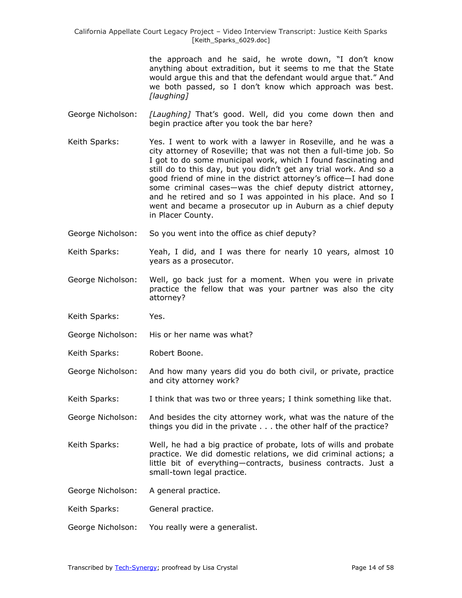> the approach and he said, he wrote down, "I don't know anything about extradition, but it seems to me that the State would argue this and that the defendant would argue that." And we both passed, so I don't know which approach was best. *[laughing]*

- George Nicholson: *[Laughing]* That's good. Well, did you come down then and begin practice after you took the bar here?
- Keith Sparks: Yes. I went to work with a lawyer in Roseville, and he was a city attorney of Roseville; that was not then a full-time job. So I got to do some municipal work, which I found fascinating and still do to this day, but you didn't get any trial work. And so a good friend of mine in the district attorney's office—I had done some criminal cases—was the chief deputy district attorney, and he retired and so I was appointed in his place. And so I went and became a prosecutor up in Auburn as a chief deputy in Placer County.
- George Nicholson: So you went into the office as chief deputy?
- Keith Sparks: Yeah, I did, and I was there for nearly 10 years, almost 10 years as a prosecutor.
- George Nicholson: Well, go back just for a moment. When you were in private practice the fellow that was your partner was also the city attorney?
- Keith Sparks: Yes.
- George Nicholson: His or her name was what?
- Keith Sparks: Robert Boone.
- George Nicholson: And how many years did you do both civil, or private, practice and city attorney work?
- Keith Sparks: I think that was two or three years; I think something like that.
- George Nicholson: And besides the city attorney work, what was the nature of the things you did in the private . . . the other half of the practice?
- Keith Sparks: Well, he had a big practice of probate, lots of wills and probate practice. We did domestic relations, we did criminal actions; a little bit of everything—contracts, business contracts. Just a small-town legal practice.
- George Nicholson: A general practice.
- Keith Sparks: General practice.
- George Nicholson: You really were a generalist.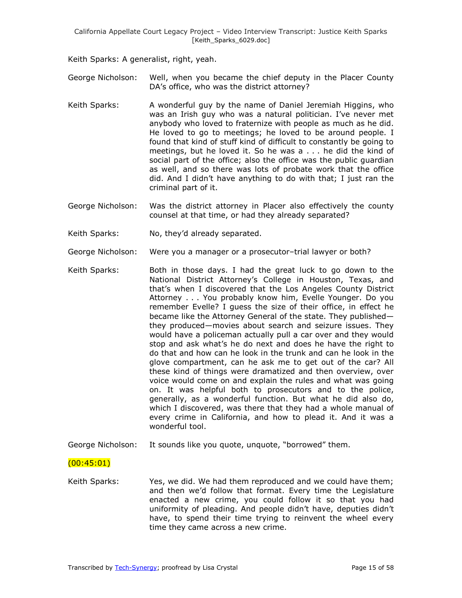Keith Sparks: A generalist, right, yeah.

- George Nicholson: Well, when you became the chief deputy in the Placer County DA's office, who was the district attorney?
- Keith Sparks: A wonderful guy by the name of Daniel Jeremiah Higgins, who was an Irish guy who was a natural politician. I've never met anybody who loved to fraternize with people as much as he did. He loved to go to meetings; he loved to be around people. I found that kind of stuff kind of difficult to constantly be going to meetings, but he loved it. So he was a . . . he did the kind of social part of the office; also the office was the public guardian as well, and so there was lots of probate work that the office did. And I didn't have anything to do with that; I just ran the criminal part of it.
- George Nicholson: Was the district attorney in Placer also effectively the county counsel at that time, or had they already separated?
- Keith Sparks: No, they'd already separated.
- George Nicholson: Were you a manager or a prosecutor–trial lawyer or both?
- Keith Sparks: Both in those days. I had the great luck to go down to the National District Attorney's College in Houston, Texas, and that's when I discovered that the Los Angeles County District Attorney . . . You probably know him, Evelle Younger. Do you remember Evelle? I guess the size of their office, in effect he became like the Attorney General of the state. They published they produced—movies about search and seizure issues. They would have a policeman actually pull a car over and they would stop and ask what's he do next and does he have the right to do that and how can he look in the trunk and can he look in the glove compartment, can he ask me to get out of the car? All these kind of things were dramatized and then overview, over voice would come on and explain the rules and what was going on. It was helpful both to prosecutors and to the police, generally, as a wonderful function. But what he did also do, which I discovered, was there that they had a whole manual of every crime in California, and how to plead it. And it was a wonderful tool.
- George Nicholson: It sounds like you quote, unquote, "borrowed" them.

### (00:45:01)

Keith Sparks: Yes, we did. We had them reproduced and we could have them; and then we'd follow that format. Every time the Legislature enacted a new crime, you could follow it so that you had uniformity of pleading. And people didn't have, deputies didn't have, to spend their time trying to reinvent the wheel every time they came across a new crime.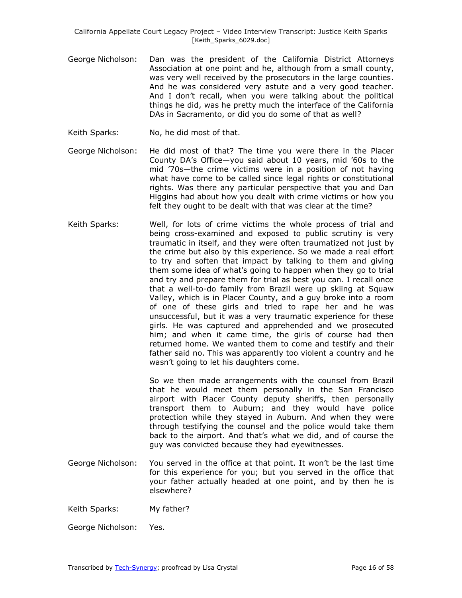- George Nicholson: Dan was the president of the California District Attorneys Association at one point and he, although from a small county, was very well received by the prosecutors in the large counties. And he was considered very astute and a very good teacher. And I don't recall, when you were talking about the political things he did, was he pretty much the interface of the California DAs in Sacramento, or did you do some of that as well?
- Keith Sparks: No, he did most of that.
- George Nicholson: He did most of that? The time you were there in the Placer County DA's Office—you said about 10 years, mid '60s to the mid '70s—the crime victims were in a position of not having what have come to be called since legal rights or constitutional rights. Was there any particular perspective that you and Dan Higgins had about how you dealt with crime victims or how you felt they ought to be dealt with that was clear at the time?
- Keith Sparks: Well, for lots of crime victims the whole process of trial and being cross-examined and exposed to public scrutiny is very traumatic in itself, and they were often traumatized not just by the crime but also by this experience. So we made a real effort to try and soften that impact by talking to them and giving them some idea of what's going to happen when they go to trial and try and prepare them for trial as best you can. I recall once that a well-to-do family from Brazil were up skiing at Squaw Valley, which is in Placer County, and a guy broke into a room of one of these girls and tried to rape her and he was unsuccessful, but it was a very traumatic experience for these girls. He was captured and apprehended and we prosecuted him; and when it came time, the girls of course had then returned home. We wanted them to come and testify and their father said no. This was apparently too violent a country and he wasn't going to let his daughters come.

So we then made arrangements with the counsel from Brazil that he would meet them personally in the San Francisco airport with Placer County deputy sheriffs, then personally transport them to Auburn; and they would have police protection while they stayed in Auburn. And when they were through testifying the counsel and the police would take them back to the airport. And that's what we did, and of course the guy was convicted because they had eyewitnesses.

George Nicholson: You served in the office at that point. It won't be the last time for this experience for you; but you served in the office that your father actually headed at one point, and by then he is elsewhere?

Keith Sparks: My father?

George Nicholson: Yes.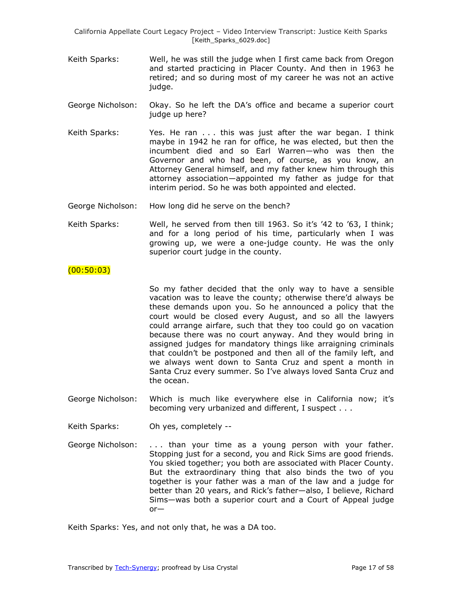- Keith Sparks: Well, he was still the judge when I first came back from Oregon and started practicing in Placer County. And then in 1963 he retired; and so during most of my career he was not an active judge.
- George Nicholson: Okay. So he left the DA's office and became a superior court judge up here?
- Keith Sparks: Yes. He ran . . . this was just after the war began. I think maybe in 1942 he ran for office, he was elected, but then the incumbent died and so Earl Warren—who was then the Governor and who had been, of course, as you know, an Attorney General himself, and my father knew him through this attorney association—appointed my father as judge for that interim period. So he was both appointed and elected.
- George Nicholson: How long did he serve on the bench?
- Keith Sparks: Well, he served from then till 1963. So it's '42 to '63, I think; and for a long period of his time, particularly when I was growing up, we were a one-judge county. He was the only superior court judge in the county.

### $(00:50:03)$

So my father decided that the only way to have a sensible vacation was to leave the county; otherwise there'd always be these demands upon you. So he announced a policy that the court would be closed every August, and so all the lawyers could arrange airfare, such that they too could go on vacation because there was no court anyway. And they would bring in assigned judges for mandatory things like arraigning criminals that couldn't be postponed and then all of the family left, and we always went down to Santa Cruz and spent a month in Santa Cruz every summer. So I've always loved Santa Cruz and the ocean.

George Nicholson: Which is much like everywhere else in California now; it's becoming very urbanized and different, I suspect . . .

Keith Sparks: Oh yes, completely --

George Nicholson: . . . than your time as a young person with your father. Stopping just for a second, you and Rick Sims are good friends. You skied together; you both are associated with Placer County. But the extraordinary thing that also binds the two of you together is your father was a man of the law and a judge for better than 20 years, and Rick's father—also, I believe, Richard Sims—was both a superior court and a Court of Appeal judge or—

Keith Sparks: Yes, and not only that, he was a DA too.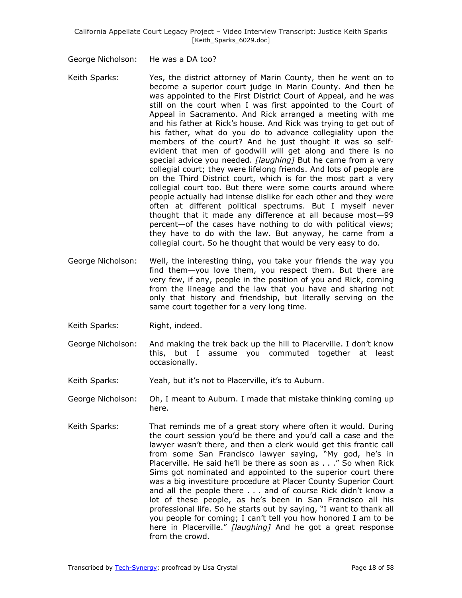George Nicholson: He was a DA too?

- Keith Sparks: Yes, the district attorney of Marin County, then he went on to become a superior court judge in Marin County. And then he was appointed to the First District Court of Appeal, and he was still on the court when I was first appointed to the Court of Appeal in Sacramento. And Rick arranged a meeting with me and his father at Rick's house. And Rick was trying to get out of his father, what do you do to advance collegiality upon the members of the court? And he just thought it was so selfevident that men of goodwill will get along and there is no special advice you needed. *[laughing]* But he came from a very collegial court; they were lifelong friends. And lots of people are on the Third District court, which is for the most part a very collegial court too. But there were some courts around where people actually had intense dislike for each other and they were often at different political spectrums. But I myself never thought that it made any difference at all because most—99 percent—of the cases have nothing to do with political views; they have to do with the law. But anyway, he came from a collegial court. So he thought that would be very easy to do.
- George Nicholson: Well, the interesting thing, you take your friends the way you find them—you love them, you respect them. But there are very few, if any, people in the position of you and Rick, coming from the lineage and the law that you have and sharing not only that history and friendship, but literally serving on the same court together for a very long time.
- Keith Sparks: Right, indeed.
- George Nicholson: And making the trek back up the hill to Placerville. I don't know this, but I assume you commuted together at least occasionally.
- Keith Sparks: Yeah, but it's not to Placerville, it's to Auburn.
- George Nicholson: Oh, I meant to Auburn. I made that mistake thinking coming up here.
- Keith Sparks: That reminds me of a great story where often it would. During the court session you'd be there and you'd call a case and the lawyer wasn't there, and then a clerk would get this frantic call from some San Francisco lawyer saying, "My god, he's in Placerville. He said he'll be there as soon as . . ." So when Rick Sims got nominated and appointed to the superior court there was a big investiture procedure at Placer County Superior Court and all the people there . . . and of course Rick didn't know a lot of these people, as he's been in San Francisco all his professional life. So he starts out by saying, "I want to thank all you people for coming; I can't tell you how honored I am to be here in Placerville." [laughing] And he got a great response from the crowd.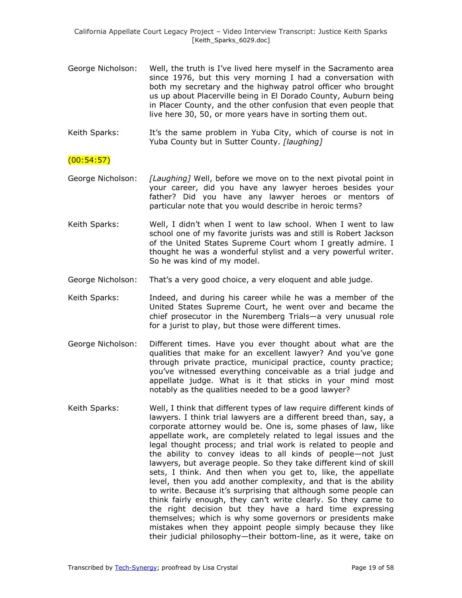- George Nicholson: Well, the truth is I've lived here myself in the Sacramento area since 1976, but this very morning I had a conversation with both my secretary and the highway patrol officer who brought us up about Placerville being in El Dorado County, Auburn being in Placer County, and the other confusion that even people that live here 30, 50, or more years have in sorting them out.
- Keith Sparks: It's the same problem in Yuba City, which of course is not in Yuba County but in Sutter County. *[laughing]*

### (00:54:57)

- George Nicholson: *[Laughing]* Well, before we move on to the next pivotal point in your career, did you have any lawyer heroes besides your father? Did you have any lawyer heroes or mentors of particular note that you would describe in heroic terms?
- Keith Sparks: Well, I didn't when I went to law school. When I went to law school one of my favorite jurists was and still is Robert Jackson of the United States Supreme Court whom I greatly admire. I thought he was a wonderful stylist and a very powerful writer. So he was kind of my model.
- George Nicholson: That's a very good choice, a very eloquent and able judge.
- Keith Sparks: Indeed, and during his career while he was a member of the United States Supreme Court, he went over and became the chief prosecutor in the Nuremberg Trials—a very unusual role for a jurist to play, but those were different times.
- George Nicholson: Different times. Have you ever thought about what are the qualities that make for an excellent lawyer? And you've gone through private practice, municipal practice, county practice; you've witnessed everything conceivable as a trial judge and appellate judge. What is it that sticks in your mind most notably as the qualities needed to be a good lawyer?
- Keith Sparks: Well, I think that different types of law require different kinds of lawyers. I think trial lawyers are a different breed than, say, a corporate attorney would be. One is, some phases of law, like appellate work, are completely related to legal issues and the legal thought process; and trial work is related to people and the ability to convey ideas to all kinds of people—not just lawyers, but average people. So they take different kind of skill sets, I think. And then when you get to, like, the appellate level, then you add another complexity, and that is the ability to write. Because it's surprising that although some people can think fairly enough, they can't write clearly. So they came to the right decision but they have a hard time expressing themselves; which is why some governors or presidents make mistakes when they appoint people simply because they like their judicial philosophy—their bottom-line, as it were, take on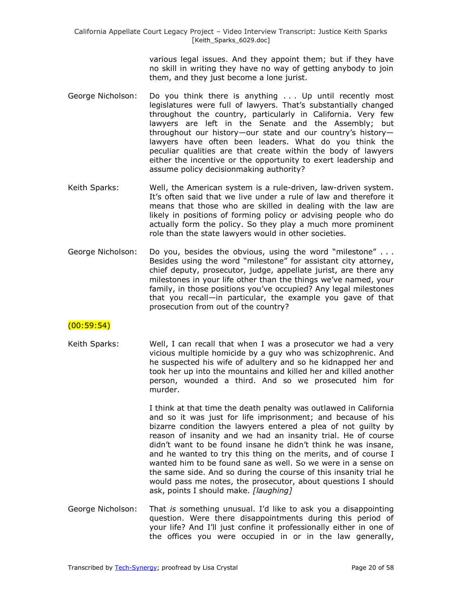various legal issues. And they appoint them; but if they have no skill in writing they have no way of getting anybody to join them, and they just become a lone jurist.

- George Nicholson: Do you think there is anything . . . Up until recently most legislatures were full of lawyers. That's substantially changed throughout the country, particularly in California. Very few lawyers are left in the Senate and the Assembly; but throughout our history—our state and our country's history lawyers have often been leaders. What do you think the peculiar qualities are that create within the body of lawyers either the incentive or the opportunity to exert leadership and assume policy decisionmaking authority?
- Keith Sparks: Well, the American system is a rule-driven, law-driven system. It's often said that we live under a rule of law and therefore it means that those who are skilled in dealing with the law are likely in positions of forming policy or advising people who do actually form the policy. So they play a much more prominent role than the state lawyers would in other societies.
- George Nicholson: Do you, besides the obvious, using the word "milestone"... Besides using the word "milestone" for assistant city attorney, chief deputy, prosecutor, judge, appellate jurist, are there any milestones in your life other than the things we've named, your family, in those positions you've occupied? Any legal milestones that you recall—in particular, the example you gave of that prosecution from out of the country?

# $(00:59:54)$

Keith Sparks: Well, I can recall that when I was a prosecutor we had a very vicious multiple homicide by a guy who was schizophrenic. And he suspected his wife of adultery and so he kidnapped her and took her up into the mountains and killed her and killed another person, wounded a third. And so we prosecuted him for murder.

> I think at that time the death penalty was outlawed in California and so it was just for life imprisonment; and because of his bizarre condition the lawyers entered a plea of not guilty by reason of insanity and we had an insanity trial. He of course didn't want to be found insane he didn't think he was insane, and he wanted to try this thing on the merits, and of course I wanted him to be found sane as well. So we were in a sense on the same side. And so during the course of this insanity trial he would pass me notes, the prosecutor, about questions I should ask, points I should make. *[laughing]*

George Nicholson: That *is* something unusual. I'd like to ask you a disappointing question. Were there disappointments during this period of your life? And I'll just confine it professionally either in one of the offices you were occupied in or in the law generally,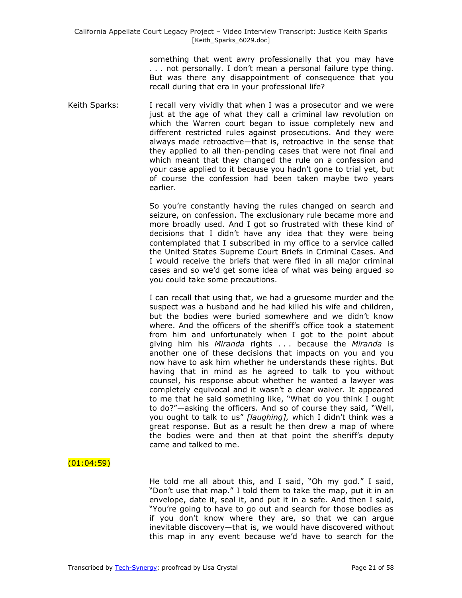something that went awry professionally that you may have . . . not personally. I don't mean a personal failure type thing. But was there any disappointment of consequence that you recall during that era in your professional life?

Keith Sparks: I recall very vividly that when I was a prosecutor and we were just at the age of what they call a criminal law revolution on which the Warren court began to issue completely new and different restricted rules against prosecutions. And they were always made retroactive—that is, retroactive in the sense that they applied to all then-pending cases that were not final and which meant that they changed the rule on a confession and your case applied to it because you hadn't gone to trial yet, but of course the confession had been taken maybe two years earlier.

> So you're constantly having the rules changed on search and seizure, on confession. The exclusionary rule became more and more broadly used. And I got so frustrated with these kind of decisions that I didn't have any idea that they were being contemplated that I subscribed in my office to a service called the United States Supreme Court Briefs in Criminal Cases. And I would receive the briefs that were filed in all major criminal cases and so we'd get some idea of what was being argued so you could take some precautions.

> I can recall that using that, we had a gruesome murder and the suspect was a husband and he had killed his wife and children, but the bodies were buried somewhere and we didn't know where. And the officers of the sheriff's office took a statement from him and unfortunately when I got to the point about giving him his *Miranda* rights . . . because the *Miranda* is another one of these decisions that impacts on you and you now have to ask him whether he understands these rights. But having that in mind as he agreed to talk to you without counsel, his response about whether he wanted a lawyer was completely equivocal and it wasn't a clear waiver. It appeared to me that he said something like, "What do you think I ought to do?"—asking the officers. And so of course they said, "Well, you ought to talk to us" [laughing], which I didn't think was a great response. But as a result he then drew a map of where the bodies were and then at that point the sheriff's deputy came and talked to me.

### $(01:04:59)$

He told me all about this, and I said, "Oh my god." I said, "Don't use that map." I told them to take the map, put it in an envelope, date it, seal it, and put it in a safe. And then I said, "You're going to have to go out and search for those bodies as if you don't know where they are, so that we can argue inevitable discovery—that is, we would have discovered without this map in any event because we'd have to search for the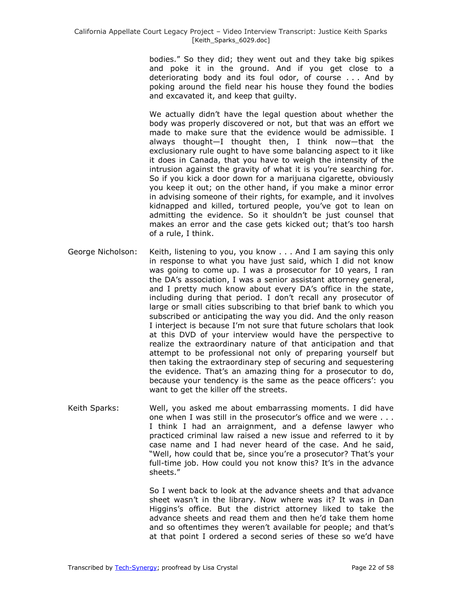bodies.‖ So they did; they went out and they take big spikes and poke it in the ground. And if you get close to a deteriorating body and its foul odor, of course . . . And by poking around the field near his house they found the bodies and excavated it, and keep that guilty.

We actually didn't have the legal question about whether the body was properly discovered or not, but that was an effort we made to make sure that the evidence would be admissible. I always thought—I thought then, I think now—that the exclusionary rule ought to have some balancing aspect to it like it does in Canada, that you have to weigh the intensity of the intrusion against the gravity of what it is you're searching for. So if you kick a door down for a marijuana cigarette, obviously you keep it out; on the other hand, if you make a minor error in advising someone of their rights, for example, and it involves kidnapped and killed, tortured people, you've got to lean on admitting the evidence. So it shouldn't be just counsel that makes an error and the case gets kicked out; that's too harsh of a rule, I think.

- George Nicholson: Keith, listening to you, you know . . . And I am saying this only in response to what you have just said, which I did not know was going to come up. I was a prosecutor for 10 years, I ran the DA's association, I was a senior assistant attorney general, and I pretty much know about every DA's office in the state, including during that period. I don't recall any prosecutor of large or small cities subscribing to that brief bank to which you subscribed or anticipating the way you did. And the only reason I interject is because I'm not sure that future scholars that look at this DVD of your interview would have the perspective to realize the extraordinary nature of that anticipation and that attempt to be professional not only of preparing yourself but then taking the extraordinary step of securing and sequestering the evidence. That's an amazing thing for a prosecutor to do, because your tendency is the same as the peace officers': you want to get the killer off the streets.
- Keith Sparks: Well, you asked me about embarrassing moments. I did have one when I was still in the prosecutor's office and we were . . . I think I had an arraignment, and a defense lawyer who practiced criminal law raised a new issue and referred to it by case name and I had never heard of the case. And he said, "Well, how could that be, since you're a prosecutor? That's your full-time job. How could you not know this? It's in the advance sheets.‖

So I went back to look at the advance sheets and that advance sheet wasn't in the library. Now where was it? It was in Dan Higgins's office. But the district attorney liked to take the advance sheets and read them and then he'd take them home and so oftentimes they weren't available for people; and that's at that point I ordered a second series of these so we'd have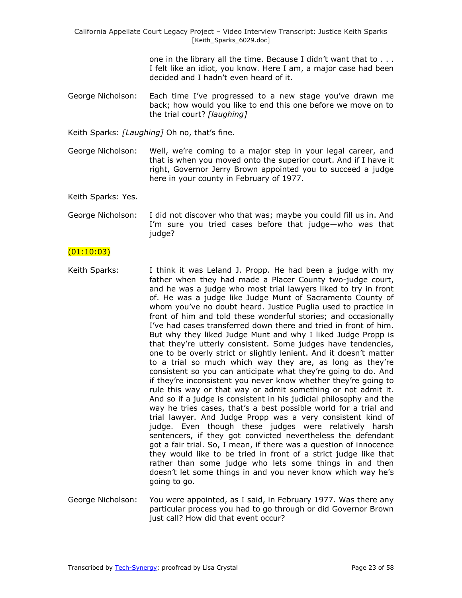one in the library all the time. Because I didn't want that to . . . I felt like an idiot, you know. Here I am, a major case had been decided and I hadn't even heard of it.

George Nicholson: Each time I've progressed to a new stage you've drawn me back; how would you like to end this one before we move on to the trial court? *[laughing]*

Keith Sparks: *[Laughing]* Oh no, that's fine.

George Nicholson: Well, we're coming to a major step in your legal career, and that is when you moved onto the superior court. And if I have it right, Governor Jerry Brown appointed you to succeed a judge here in your county in February of 1977.

Keith Sparks: Yes.

George Nicholson: I did not discover who that was; maybe you could fill us in. And I'm sure you tried cases before that judge—who was that judge?

### $(01:10:03)$

- Keith Sparks: I think it was Leland J. Propp. He had been a judge with my father when they had made a Placer County two-judge court, and he was a judge who most trial lawyers liked to try in front of. He was a judge like Judge Munt of Sacramento County of whom you've no doubt heard. Justice Puglia used to practice in front of him and told these wonderful stories; and occasionally I've had cases transferred down there and tried in front of him. But why they liked Judge Munt and why I liked Judge Propp is that they're utterly consistent. Some judges have tendencies, one to be overly strict or slightly lenient. And it doesn't matter to a trial so much which way they are, as long as they're consistent so you can anticipate what they're going to do. And if they're inconsistent you never know whether they're going to rule this way or that way or admit something or not admit it. And so if a judge is consistent in his judicial philosophy and the way he tries cases, that's a best possible world for a trial and trial lawyer. And Judge Propp was a very consistent kind of judge. Even though these judges were relatively harsh sentencers, if they got convicted nevertheless the defendant got a fair trial. So, I mean, if there was a question of innocence they would like to be tried in front of a strict judge like that rather than some judge who lets some things in and then doesn't let some things in and you never know which way he's going to go.
- George Nicholson: You were appointed, as I said, in February 1977. Was there any particular process you had to go through or did Governor Brown just call? How did that event occur?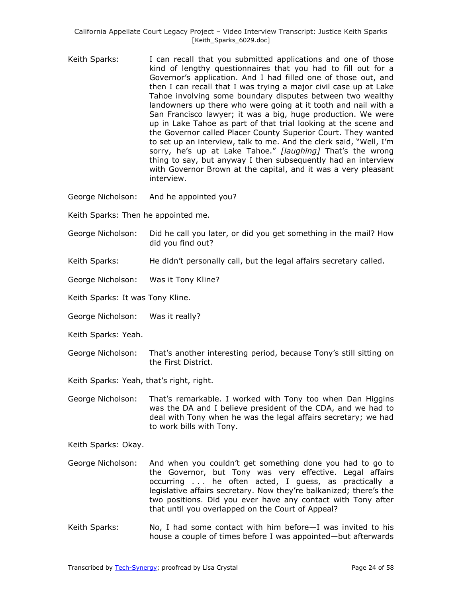- Keith Sparks: I can recall that you submitted applications and one of those kind of lengthy questionnaires that you had to fill out for a Governor's application. And I had filled one of those out, and then I can recall that I was trying a major civil case up at Lake Tahoe involving some boundary disputes between two wealthy landowners up there who were going at it tooth and nail with a San Francisco lawyer; it was a big, huge production. We were up in Lake Tahoe as part of that trial looking at the scene and the Governor called Placer County Superior Court. They wanted to set up an interview, talk to me. And the clerk said, "Well, I'm sorry, he's up at Lake Tahoe." [laughing] That's the wrong thing to say, but anyway I then subsequently had an interview with Governor Brown at the capital, and it was a very pleasant interview.
- George Nicholson: And he appointed you?
- Keith Sparks: Then he appointed me.
- George Nicholson: Did he call you later, or did you get something in the mail? How did you find out?
- Keith Sparks: He didn't personally call, but the legal affairs secretary called.
- George Nicholson: Was it Tony Kline?
- Keith Sparks: It was Tony Kline.
- George Nicholson: Was it really?
- Keith Sparks: Yeah.
- George Nicholson: That's another interesting period, because Tony's still sitting on the First District.
- Keith Sparks: Yeah, that's right, right.

George Nicholson: That's remarkable. I worked with Tony too when Dan Higgins was the DA and I believe president of the CDA, and we had to deal with Tony when he was the legal affairs secretary; we had to work bills with Tony.

Keith Sparks: Okay.

- George Nicholson: And when you couldn't get something done you had to go to the Governor, but Tony was very effective. Legal affairs occurring . . . he often acted, I guess, as practically a legislative affairs secretary. Now they're balkanized; there's the two positions. Did you ever have any contact with Tony after that until you overlapped on the Court of Appeal?
- Keith Sparks: No, I had some contact with him before-I was invited to his house a couple of times before I was appointed—but afterwards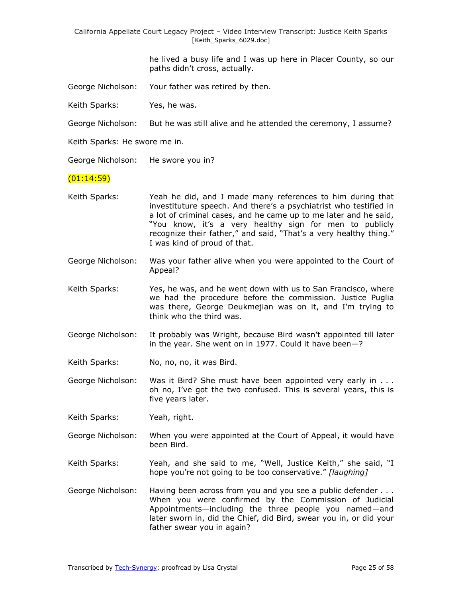> he lived a busy life and I was up here in Placer County, so our paths didn't cross, actually.

George Nicholson: Your father was retired by then.

Keith Sparks: Yes, he was.

George Nicholson: But he was still alive and he attended the ceremony, I assume?

Keith Sparks: He swore me in.

George Nicholson: He swore you in?

#### $(01:14:59)$

- Keith Sparks: Yeah he did, and I made many references to him during that investituture speech. And there's a psychiatrist who testified in a lot of criminal cases, and he came up to me later and he said, "You know, it's a very healthy sign for men to publicly recognize their father," and said, "That's a very healthy thing." I was kind of proud of that.
- George Nicholson: Was your father alive when you were appointed to the Court of Appeal?
- Keith Sparks: Yes, he was, and he went down with us to San Francisco, where we had the procedure before the commission. Justice Puglia was there, George Deukmejian was on it, and I'm trying to think who the third was.
- George Nicholson: It probably was Wright, because Bird wasn't appointed till later in the year. She went on in 1977. Could it have been—?
- Keith Sparks: No, no, no, it was Bird.
- George Nicholson: Was it Bird? She must have been appointed very early in . . . oh no, I've got the two confused. This is several years, this is five years later.
- Keith Sparks: Yeah, right.
- George Nicholson: When you were appointed at the Court of Appeal, it would have been Bird.
- Keith Sparks: Yeah, and she said to me, "Well, Justice Keith," she said, "I hope you're not going to be too conservative." [laughing]
- George Nicholson: Having been across from you and you see a public defender . . . When you were confirmed by the Commission of Judicial Appointments—including the three people you named—and later sworn in, did the Chief, did Bird, swear you in, or did your father swear you in again?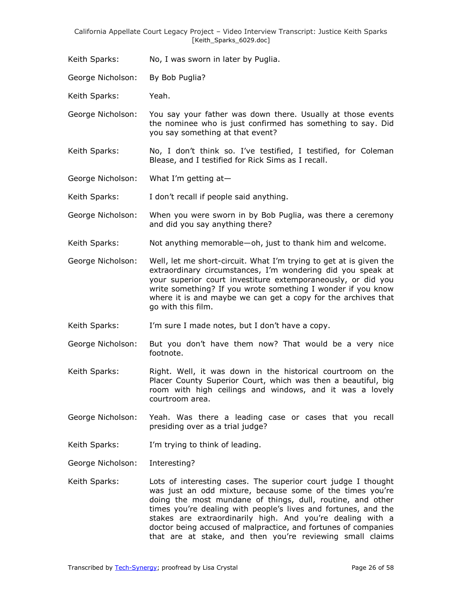Keith Sparks: No, I was sworn in later by Puglia.

George Nicholson: By Bob Puglia?

Keith Sparks: Yeah.

George Nicholson: You say your father was down there. Usually at those events the nominee who is just confirmed has something to say. Did you say something at that event?

Keith Sparks: No, I don't think so. I've testified, I testified, for Coleman Blease, and I testified for Rick Sims as I recall.

George Nicholson: What I'm getting at—

Keith Sparks: I don't recall if people said anything.

- George Nicholson: When you were sworn in by Bob Puglia, was there a ceremony and did you say anything there?
- Keith Sparks: Not anything memorable—oh, just to thank him and welcome.
- George Nicholson: Well, let me short-circuit. What I'm trying to get at is given the extraordinary circumstances, I'm wondering did you speak at your superior court investiture extemporaneously, or did you write something? If you wrote something I wonder if you know where it is and maybe we can get a copy for the archives that go with this film.
- Keith Sparks: I'm sure I made notes, but I don't have a copy.
- George Nicholson: But you don't have them now? That would be a very nice footnote.
- Keith Sparks: Right. Well, it was down in the historical courtroom on the Placer County Superior Court, which was then a beautiful, big room with high ceilings and windows, and it was a lovely courtroom area.
- George Nicholson: Yeah. Was there a leading case or cases that you recall presiding over as a trial judge?

Keith Sparks: I'm trying to think of leading.

George Nicholson: Interesting?

Keith Sparks: Lots of interesting cases. The superior court judge I thought was just an odd mixture, because some of the times you're doing the most mundane of things, dull, routine, and other times you're dealing with people's lives and fortunes, and the stakes are extraordinarily high. And you're dealing with a doctor being accused of malpractice, and fortunes of companies that are at stake, and then you're reviewing small claims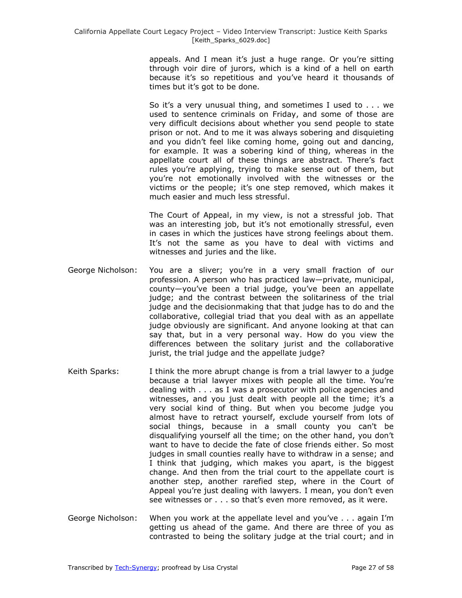appeals. And I mean it's just a huge range. Or you're sitting through voir dire of jurors, which is a kind of a hell on earth because it's so repetitious and you've heard it thousands of times but it's got to be done.

So it's a very unusual thing, and sometimes I used to . . . we used to sentence criminals on Friday, and some of those are very difficult decisions about whether you send people to state prison or not. And to me it was always sobering and disquieting and you didn't feel like coming home, going out and dancing, for example. It was a sobering kind of thing, whereas in the appellate court all of these things are abstract. There's fact rules you're applying, trying to make sense out of them, but you're not emotionally involved with the witnesses or the victims or the people; it's one step removed, which makes it much easier and much less stressful.

The Court of Appeal, in my view, is not a stressful job. That was an interesting job, but it's not emotionally stressful, even in cases in which the justices have strong feelings about them. It's not the same as you have to deal with victims and witnesses and juries and the like.

- George Nicholson: You are a sliver; you're in a very small fraction of our profession. A person who has practiced law—private, municipal, county—you've been a trial judge, you've been an appellate judge; and the contrast between the solitariness of the trial judge and the decisionmaking that that judge has to do and the collaborative, collegial triad that you deal with as an appellate judge obviously are significant. And anyone looking at that can say that, but in a very personal way. How do you view the differences between the solitary jurist and the collaborative jurist, the trial judge and the appellate judge?
- Keith Sparks: I think the more abrupt change is from a trial lawyer to a judge because a trial lawyer mixes with people all the time. You're dealing with . . . as I was a prosecutor with police agencies and witnesses, and you just dealt with people all the time; it's a very social kind of thing. But when you become judge you almost have to retract yourself, exclude yourself from lots of social things, because in a small county you can't be disqualifying yourself all the time; on the other hand, you don't want to have to decide the fate of close friends either. So most judges in small counties really have to withdraw in a sense; and I think that judging, which makes you apart, is the biggest change. And then from the trial court to the appellate court is another step, another rarefied step, where in the Court of Appeal you're just dealing with lawyers. I mean, you don't even see witnesses or . . . so that's even more removed, as it were.
- George Nicholson: When you work at the appellate level and you've . . . again I'm getting us ahead of the game. And there are three of you as contrasted to being the solitary judge at the trial court; and in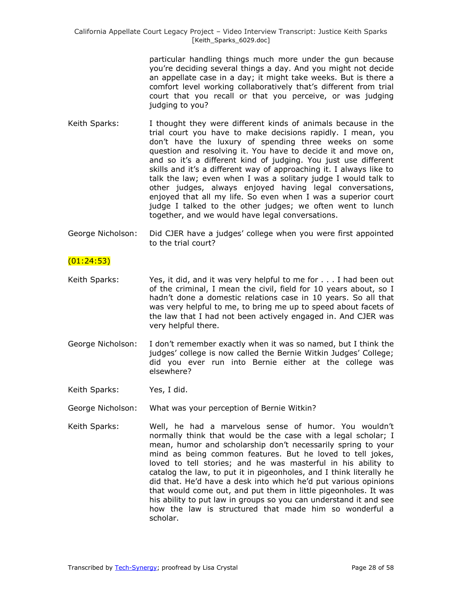> particular handling things much more under the gun because you're deciding several things a day. And you might not decide an appellate case in a day; it might take weeks. But is there a comfort level working collaboratively that's different from trial court that you recall or that you perceive, or was judging judging to you?

- Keith Sparks: I thought they were different kinds of animals because in the trial court you have to make decisions rapidly. I mean, you don't have the luxury of spending three weeks on some question and resolving it. You have to decide it and move on, and so it's a different kind of judging. You just use different skills and it's a different way of approaching it. I always like to talk the law; even when I was a solitary judge I would talk to other judges, always enjoyed having legal conversations, enjoyed that all my life. So even when I was a superior court judge I talked to the other judges; we often went to lunch together, and we would have legal conversations.
- George Nicholson: Did CJER have a judges' college when you were first appointed to the trial court?

### $(01:24:53)$

- Keith Sparks: Yes, it did, and it was very helpful to me for . . . I had been out of the criminal, I mean the civil, field for 10 years about, so I hadn't done a domestic relations case in 10 years. So all that was very helpful to me, to bring me up to speed about facets of the law that I had not been actively engaged in. And CJER was very helpful there.
- George Nicholson: I don't remember exactly when it was so named, but I think the judges' college is now called the Bernie Witkin Judges' College; did you ever run into Bernie either at the college was elsewhere?

Keith Sparks: Yes, I did.

George Nicholson: What was your perception of Bernie Witkin?

Keith Sparks: Well, he had a marvelous sense of humor. You wouldn't normally think that would be the case with a legal scholar; I mean, humor and scholarship don't necessarily spring to your mind as being common features. But he loved to tell jokes, loved to tell stories; and he was masterful in his ability to catalog the law, to put it in pigeonholes, and I think literally he did that. He'd have a desk into which he'd put various opinions that would come out, and put them in little pigeonholes. It was his ability to put law in groups so you can understand it and see how the law is structured that made him so wonderful a scholar.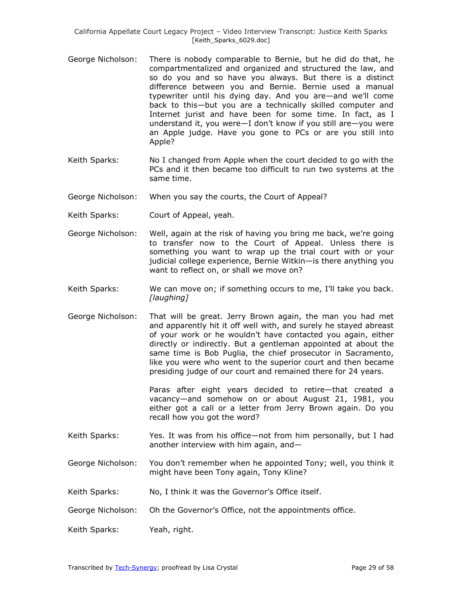- George Nicholson: There is nobody comparable to Bernie, but he did do that, he compartmentalized and organized and structured the law, and so do you and so have you always. But there is a distinct difference between you and Bernie. Bernie used a manual typewriter until his dying day. And you are—and we'll come back to this—but you are a technically skilled computer and Internet jurist and have been for some time. In fact, as I understand it, you were—I don't know if you still are—you were an Apple judge. Have you gone to PCs or are you still into Apple?
- Keith Sparks: No I changed from Apple when the court decided to go with the PCs and it then became too difficult to run two systems at the same time.
- George Nicholson: When you say the courts, the Court of Appeal?
- Keith Sparks: Court of Appeal, yeah.
- George Nicholson: Well, again at the risk of having you bring me back, we're going to transfer now to the Court of Appeal. Unless there is something you want to wrap up the trial court with or your judicial college experience, Bernie Witkin—is there anything you want to reflect on, or shall we move on?
- Keith Sparks: We can move on; if something occurs to me, I'll take you back. *[laughing]*
- George Nicholson: That will be great. Jerry Brown again, the man you had met and apparently hit it off well with, and surely he stayed abreast of your work or he wouldn't have contacted you again, either directly or indirectly. But a gentleman appointed at about the same time is Bob Puglia, the chief prosecutor in Sacramento, like you were who went to the superior court and then became presiding judge of our court and remained there for 24 years.

Paras after eight years decided to retire—that created a vacancy—and somehow on or about August 21, 1981, you either got a call or a letter from Jerry Brown again. Do you recall how you got the word?

- Keith Sparks: Yes. It was from his office—not from him personally, but I had another interview with him again, and—
- George Nicholson: You don't remember when he appointed Tony; well, you think it might have been Tony again, Tony Kline?
- Keith Sparks: No, I think it was the Governor's Office itself.
- George Nicholson: Oh the Governor's Office, not the appointments office.
- Keith Sparks: Yeah, right.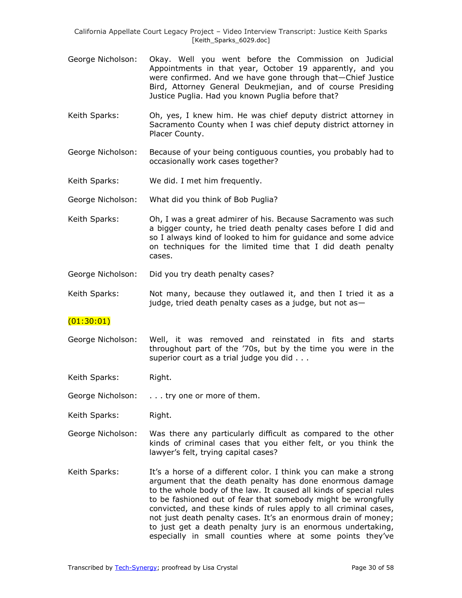- George Nicholson: Okay. Well you went before the Commission on Judicial Appointments in that year, October 19 apparently, and you were confirmed. And we have gone through that—Chief Justice Bird, Attorney General Deukmejian, and of course Presiding Justice Puglia. Had you known Puglia before that?
- Keith Sparks: Oh, yes, I knew him. He was chief deputy district attorney in Sacramento County when I was chief deputy district attorney in Placer County.
- George Nicholson: Because of your being contiguous counties, you probably had to occasionally work cases together?
- Keith Sparks: We did. I met him frequently.
- George Nicholson: What did you think of Bob Puglia?
- Keith Sparks: Oh, I was a great admirer of his. Because Sacramento was such a bigger county, he tried death penalty cases before I did and so I always kind of looked to him for guidance and some advice on techniques for the limited time that I did death penalty cases.
- George Nicholson: Did you try death penalty cases?
- Keith Sparks: Not many, because they outlawed it, and then I tried it as a judge, tried death penalty cases as a judge, but not as—

#### (01:30:01)

George Nicholson: Well, it was removed and reinstated in fits and starts throughout part of the '70s, but by the time you were in the superior court as a trial judge you did . . .

Keith Sparks: Right.

George Nicholson: . . . try one or more of them.

Keith Sparks: Right.

- George Nicholson: Was there any particularly difficult as compared to the other kinds of criminal cases that you either felt, or you think the lawyer's felt, trying capital cases?
- Keith Sparks: It's a horse of a different color. I think you can make a strong argument that the death penalty has done enormous damage to the whole body of the law. It caused all kinds of special rules to be fashioned out of fear that somebody might be wrongfully convicted, and these kinds of rules apply to all criminal cases, not just death penalty cases. It's an enormous drain of money; to just get a death penalty jury is an enormous undertaking, especially in small counties where at some points they've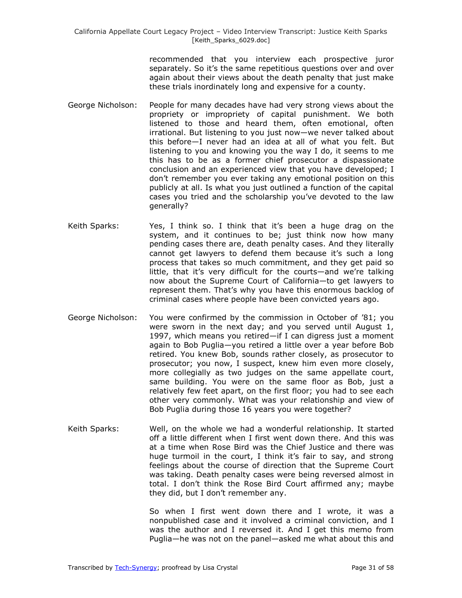recommended that you interview each prospective juror separately. So it's the same repetitious questions over and over again about their views about the death penalty that just make these trials inordinately long and expensive for a county.

- George Nicholson: People for many decades have had very strong views about the propriety or impropriety of capital punishment. We both listened to those and heard them, often emotional, often irrational. But listening to you just now—we never talked about this before—I never had an idea at all of what you felt. But listening to you and knowing you the way I do, it seems to me this has to be as a former chief prosecutor a dispassionate conclusion and an experienced view that you have developed; I don't remember you ever taking any emotional position on this publicly at all. Is what you just outlined a function of the capital cases you tried and the scholarship you've devoted to the law generally?
- Keith Sparks: Yes, I think so. I think that it's been a huge drag on the system, and it continues to be; just think now how many pending cases there are, death penalty cases. And they literally cannot get lawyers to defend them because it's such a long process that takes so much commitment, and they get paid so little, that it's very difficult for the courts—and we're talking now about the Supreme Court of California—to get lawyers to represent them. That's why you have this enormous backlog of criminal cases where people have been convicted years ago.
- George Nicholson: You were confirmed by the commission in October of '81; you were sworn in the next day; and you served until August 1, 1997, which means you retired—if I can digress just a moment again to Bob Puglia—you retired a little over a year before Bob retired. You knew Bob, sounds rather closely, as prosecutor to prosecutor; you now, I suspect, knew him even more closely, more collegially as two judges on the same appellate court, same building. You were on the same floor as Bob, just a relatively few feet apart, on the first floor; you had to see each other very commonly. What was your relationship and view of Bob Puglia during those 16 years you were together?
- Keith Sparks: Well, on the whole we had a wonderful relationship. It started off a little different when I first went down there. And this was at a time when Rose Bird was the Chief Justice and there was huge turmoil in the court, I think it's fair to say, and strong feelings about the course of direction that the Supreme Court was taking. Death penalty cases were being reversed almost in total. I don't think the Rose Bird Court affirmed any; maybe they did, but I don't remember any.

So when I first went down there and I wrote, it was a nonpublished case and it involved a criminal conviction, and I was the author and I reversed it. And I get this memo from Puglia—he was not on the panel—asked me what about this and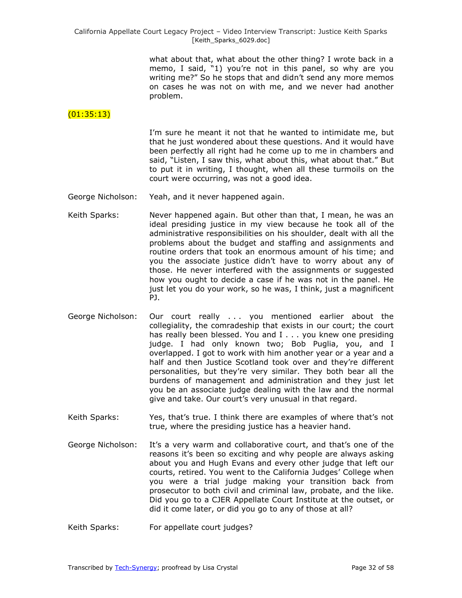what about that, what about the other thing? I wrote back in a memo, I said, "1) you're not in this panel, so why are you writing me?" So he stops that and didn't send any more memos on cases he was not on with me, and we never had another problem.

# $(01:35:13)$

I'm sure he meant it not that he wanted to intimidate me, but that he just wondered about these questions. And it would have been perfectly all right had he come up to me in chambers and said, "Listen, I saw this, what about this, what about that." But to put it in writing, I thought, when all these turmoils on the court were occurring, was not a good idea.

- George Nicholson: Yeah, and it never happened again.
- Keith Sparks: Never happened again. But other than that, I mean, he was an ideal presiding justice in my view because he took all of the administrative responsibilities on his shoulder, dealt with all the problems about the budget and staffing and assignments and routine orders that took an enormous amount of his time; and you the associate justice didn't have to worry about any of those. He never interfered with the assignments or suggested how you ought to decide a case if he was not in the panel. He just let you do your work, so he was, I think, just a magnificent PJ.
- George Nicholson: Our court really . . . you mentioned earlier about the collegiality, the comradeship that exists in our court; the court has really been blessed. You and I . . . you knew one presiding judge. I had only known two; Bob Puglia, you, and I overlapped. I got to work with him another year or a year and a half and then Justice Scotland took over and they're different personalities, but they're very similar. They both bear all the burdens of management and administration and they just let you be an associate judge dealing with the law and the normal give and take. Our court's very unusual in that regard.
- Keith Sparks: Yes, that's true. I think there are examples of where that's not true, where the presiding justice has a heavier hand.
- George Nicholson: It's a very warm and collaborative court, and that's one of the reasons it's been so exciting and why people are always asking about you and Hugh Evans and every other judge that left our courts, retired. You went to the California Judges' College when you were a trial judge making your transition back from prosecutor to both civil and criminal law, probate, and the like. Did you go to a CJER Appellate Court Institute at the outset, or did it come later, or did you go to any of those at all?
- Keith Sparks: For appellate court judges?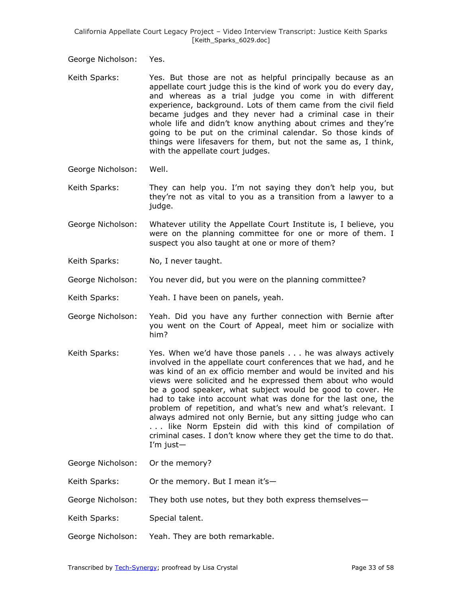George Nicholson: Yes.

- Keith Sparks: Yes. But those are not as helpful principally because as an appellate court judge this is the kind of work you do every day, and whereas as a trial judge you come in with different experience, background. Lots of them came from the civil field became judges and they never had a criminal case in their whole life and didn't know anything about crimes and they're going to be put on the criminal calendar. So those kinds of things were lifesavers for them, but not the same as, I think, with the appellate court judges.
- George Nicholson: Well.
- Keith Sparks: They can help you. I'm not saying they don't help you, but they're not as vital to you as a transition from a lawyer to a judge.
- George Nicholson: Whatever utility the Appellate Court Institute is, I believe, you were on the planning committee for one or more of them. I suspect you also taught at one or more of them?
- Keith Sparks: No, I never taught.
- George Nicholson: You never did, but you were on the planning committee?
- Keith Sparks: Yeah. I have been on panels, yeah.
- George Nicholson: Yeah. Did you have any further connection with Bernie after you went on the Court of Appeal, meet him or socialize with him?
- Keith Sparks: Yes. When we'd have those panels . . . he was always actively involved in the appellate court conferences that we had, and he was kind of an ex officio member and would be invited and his views were solicited and he expressed them about who would be a good speaker, what subject would be good to cover. He had to take into account what was done for the last one, the problem of repetition, and what's new and what's relevant. I always admired not only Bernie, but any sitting judge who can . . . like Norm Epstein did with this kind of compilation of criminal cases. I don't know where they get the time to do that. I'm just—
- George Nicholson: Or the memory?
- Keith Sparks: Or the memory. But I mean it's-
- George Nicholson: They both use notes, but they both express themselves—
- Keith Sparks: Special talent.
- George Nicholson: Yeah. They are both remarkable.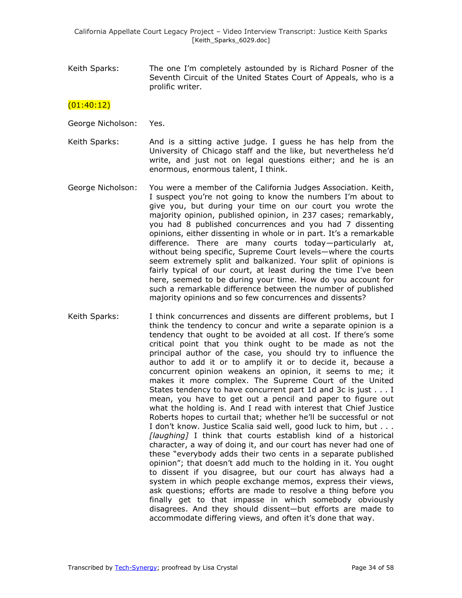Keith Sparks: The one I'm completely astounded by is Richard Posner of the Seventh Circuit of the United States Court of Appeals, who is a prolific writer.

### $(01:40:12)$

George Nicholson: Yes.

- Keith Sparks: And is a sitting active judge. I guess he has help from the University of Chicago staff and the like, but nevertheless he'd write, and just not on legal questions either; and he is an enormous, enormous talent, I think.
- George Nicholson: You were a member of the California Judges Association. Keith, I suspect you're not going to know the numbers I'm about to give you, but during your time on our court you wrote the majority opinion, published opinion, in 237 cases; remarkably, you had 8 published concurrences and you had 7 dissenting opinions, either dissenting in whole or in part. It's a remarkable difference. There are many courts today—particularly at, without being specific, Supreme Court levels—where the courts seem extremely split and balkanized. Your split of opinions is fairly typical of our court, at least during the time I've been here, seemed to be during your time. How do you account for such a remarkable difference between the number of published majority opinions and so few concurrences and dissents?
- Keith Sparks: I think concurrences and dissents are different problems, but I think the tendency to concur and write a separate opinion is a tendency that ought to be avoided at all cost. If there's some critical point that you think ought to be made as not the principal author of the case, you should try to influence the author to add it or to amplify it or to decide it, because a concurrent opinion weakens an opinion, it seems to me; it makes it more complex. The Supreme Court of the United States tendency to have concurrent part 1d and 3c is just . . . I mean, you have to get out a pencil and paper to figure out what the holding is. And I read with interest that Chief Justice Roberts hopes to curtail that; whether he'll be successful or not I don't know. Justice Scalia said well, good luck to him, but . . . *[laughing]* I think that courts establish kind of a historical character, a way of doing it, and our court has never had one of these "everybody adds their two cents in a separate published opinion‖; that doesn't add much to the holding in it. You ought to dissent if you disagree, but our court has always had a system in which people exchange memos, express their views, ask questions; efforts are made to resolve a thing before you finally get to that impasse in which somebody obviously disagrees. And they should dissent—but efforts are made to accommodate differing views, and often it's done that way.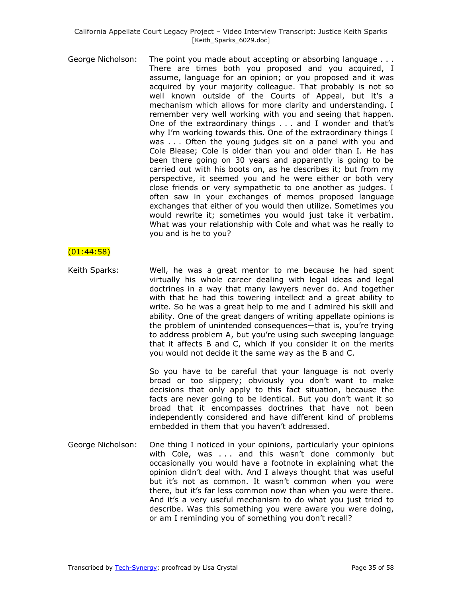George Nicholson: The point you made about accepting or absorbing language . . . There are times both you proposed and you acquired, I assume, language for an opinion; or you proposed and it was acquired by your majority colleague. That probably is not so well known outside of the Courts of Appeal, but it's a mechanism which allows for more clarity and understanding. I remember very well working with you and seeing that happen. One of the extraordinary things . . . and I wonder and that's why I'm working towards this. One of the extraordinary things I was . . . Often the young judges sit on a panel with you and Cole Blease; Cole is older than you and older than I. He has been there going on 30 years and apparently is going to be carried out with his boots on, as he describes it; but from my perspective, it seemed you and he were either or both very close friends or very sympathetic to one another as judges. I often saw in your exchanges of memos proposed language exchanges that either of you would then utilize. Sometimes you would rewrite it; sometimes you would just take it verbatim. What was your relationship with Cole and what was he really to you and is he to you?

### (01:44:58)

Keith Sparks: Well, he was a great mentor to me because he had spent virtually his whole career dealing with legal ideas and legal doctrines in a way that many lawyers never do. And together with that he had this towering intellect and a great ability to write. So he was a great help to me and I admired his skill and ability. One of the great dangers of writing appellate opinions is the problem of unintended consequences—that is, you're trying to address problem A, but you're using such sweeping language that it affects B and C, which if you consider it on the merits you would not decide it the same way as the B and C.

> So you have to be careful that your language is not overly broad or too slippery; obviously you don't want to make decisions that only apply to this fact situation, because the facts are never going to be identical. But you don't want it so broad that it encompasses doctrines that have not been independently considered and have different kind of problems embedded in them that you haven't addressed.

George Nicholson: One thing I noticed in your opinions, particularly your opinions with Cole, was . . . and this wasn't done commonly but occasionally you would have a footnote in explaining what the opinion didn't deal with. And I always thought that was useful but it's not as common. It wasn't common when you were there, but it's far less common now than when you were there. And it's a very useful mechanism to do what you just tried to describe. Was this something you were aware you were doing, or am I reminding you of something you don't recall?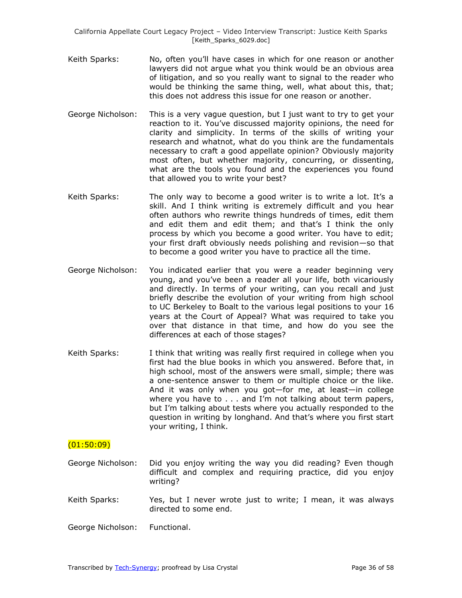- Keith Sparks: No, often you'll have cases in which for one reason or another lawyers did not argue what you think would be an obvious area of litigation, and so you really want to signal to the reader who would be thinking the same thing, well, what about this, that; this does not address this issue for one reason or another.
- George Nicholson: This is a very vague question, but I just want to try to get your reaction to it. You've discussed majority opinions, the need for clarity and simplicity. In terms of the skills of writing your research and whatnot, what do you think are the fundamentals necessary to craft a good appellate opinion? Obviously majority most often, but whether majority, concurring, or dissenting, what are the tools you found and the experiences you found that allowed you to write your best?
- Keith Sparks: The only way to become a good writer is to write a lot. It's a skill. And I think writing is extremely difficult and you hear often authors who rewrite things hundreds of times, edit them and edit them and edit them; and that's I think the only process by which you become a good writer. You have to edit; your first draft obviously needs polishing and revision—so that to become a good writer you have to practice all the time.
- George Nicholson: You indicated earlier that you were a reader beginning very young, and you've been a reader all your life, both vicariously and directly. In terms of your writing, can you recall and just briefly describe the evolution of your writing from high school to UC Berkeley to Boalt to the various legal positions to your 16 years at the Court of Appeal? What was required to take you over that distance in that time, and how do you see the differences at each of those stages?
- Keith Sparks: I think that writing was really first required in college when you first had the blue books in which you answered. Before that, in high school, most of the answers were small, simple; there was a one-sentence answer to them or multiple choice or the like. And it was only when you got—for me, at least—in college where you have to . . . and I'm not talking about term papers, but I'm talking about tests where you actually responded to the question in writing by longhand. And that's where you first start your writing, I think.

# $(01:50:09)$

- George Nicholson: Did you enjoy writing the way you did reading? Even though difficult and complex and requiring practice, did you enjoy writing?
- Keith Sparks: Yes, but I never wrote just to write; I mean, it was always directed to some end.
- George Nicholson: Functional.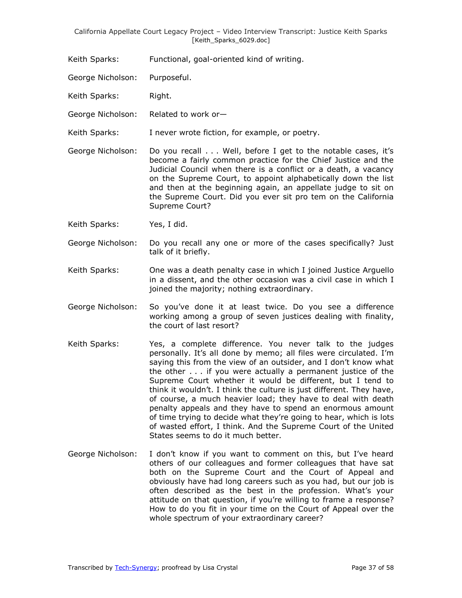Keith Sparks: Functional, goal-oriented kind of writing.

George Nicholson: Purposeful.

Keith Sparks: Right.

George Nicholson: Related to work or—

Keith Sparks: I never wrote fiction, for example, or poetry.

George Nicholson: Do you recall . . . Well, before I get to the notable cases, it's become a fairly common practice for the Chief Justice and the Judicial Council when there is a conflict or a death, a vacancy on the Supreme Court, to appoint alphabetically down the list and then at the beginning again, an appellate judge to sit on the Supreme Court. Did you ever sit pro tem on the California Supreme Court?

Keith Sparks: Yes, I did.

George Nicholson: Do you recall any one or more of the cases specifically? Just talk of it briefly.

Keith Sparks: One was a death penalty case in which I joined Justice Arguello in a dissent, and the other occasion was a civil case in which I joined the majority; nothing extraordinary.

- George Nicholson: So you've done it at least twice. Do you see a difference working among a group of seven justices dealing with finality, the court of last resort?
- Keith Sparks: Yes, a complete difference. You never talk to the judges personally. It's all done by memo; all files were circulated. I'm saying this from the view of an outsider, and I don't know what the other . . . if you were actually a permanent justice of the Supreme Court whether it would be different, but I tend to think it wouldn't. I think the culture is just different. They have, of course, a much heavier load; they have to deal with death penalty appeals and they have to spend an enormous amount of time trying to decide what they're going to hear, which is lots of wasted effort, I think. And the Supreme Court of the United States seems to do it much better.
- George Nicholson: I don't know if you want to comment on this, but I've heard others of our colleagues and former colleagues that have sat both on the Supreme Court and the Court of Appeal and obviously have had long careers such as you had, but our job is often described as the best in the profession. What's your attitude on that question, if you're willing to frame a response? How to do you fit in your time on the Court of Appeal over the whole spectrum of your extraordinary career?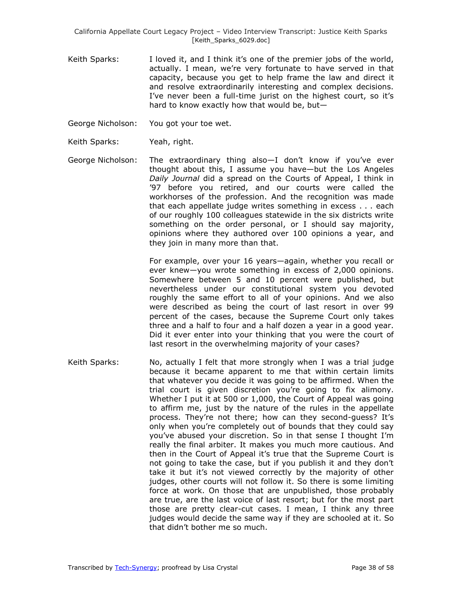- Keith Sparks: I loved it, and I think it's one of the premier jobs of the world, actually. I mean, we're very fortunate to have served in that capacity, because you get to help frame the law and direct it and resolve extraordinarily interesting and complex decisions. I've never been a full-time jurist on the highest court, so it's hard to know exactly how that would be, but—
- George Nicholson: You got your toe wet.
- Keith Sparks: Yeah, right.
- George Nicholson: The extraordinary thing also—I don't know if you've ever thought about this, I assume you have—but the Los Angeles *Daily Journal* did a spread on the Courts of Appeal, I think in '97 before you retired, and our courts were called the workhorses of the profession. And the recognition was made that each appellate judge writes something in excess . . . each of our roughly 100 colleagues statewide in the six districts write something on the order personal, or I should say majority, opinions where they authored over 100 opinions a year, and they join in many more than that.

For example, over your 16 years—again, whether you recall or ever knew—you wrote something in excess of 2,000 opinions. Somewhere between 5 and 10 percent were published, but nevertheless under our constitutional system you devoted roughly the same effort to all of your opinions. And we also were described as being the court of last resort in over 99 percent of the cases, because the Supreme Court only takes three and a half to four and a half dozen a year in a good year. Did it ever enter into your thinking that you were the court of last resort in the overwhelming majority of your cases?

Keith Sparks: No, actually I felt that more strongly when I was a trial judge because it became apparent to me that within certain limits that whatever you decide it was going to be affirmed. When the trial court is given discretion you're going to fix alimony. Whether I put it at 500 or 1,000, the Court of Appeal was going to affirm me, just by the nature of the rules in the appellate process. They're not there; how can they second-guess? It's only when you're completely out of bounds that they could say you've abused your discretion. So in that sense I thought I'm really the final arbiter. It makes you much more cautious. And then in the Court of Appeal it's true that the Supreme Court is not going to take the case, but if you publish it and they don't take it but it's not viewed correctly by the majority of other judges, other courts will not follow it. So there is some limiting force at work. On those that are unpublished, those probably are true, are the last voice of last resort; but for the most part those are pretty clear-cut cases. I mean, I think any three judges would decide the same way if they are schooled at it. So that didn't bother me so much.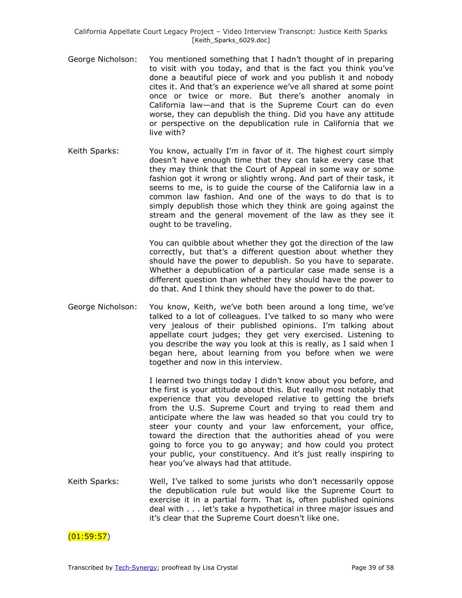- George Nicholson: You mentioned something that I hadn't thought of in preparing to visit with you today, and that is the fact you think you've done a beautiful piece of work and you publish it and nobody cites it. And that's an experience we've all shared at some point once or twice or more. But there's another anomaly in California law—and that is the Supreme Court can do even worse, they can depublish the thing. Did you have any attitude or perspective on the depublication rule in California that we live with?
- Keith Sparks: You know, actually I'm in favor of it. The highest court simply doesn't have enough time that they can take every case that they may think that the Court of Appeal in some way or some fashion got it wrong or slightly wrong. And part of their task, it seems to me, is to guide the course of the California law in a common law fashion. And one of the ways to do that is to simply depublish those which they think are going against the stream and the general movement of the law as they see it ought to be traveling.

You can quibble about whether they got the direction of the law correctly, but that's a different question about whether they should have the power to depublish. So you have to separate. Whether a depublication of a particular case made sense is a different question than whether they should have the power to do that. And I think they should have the power to do that.

George Nicholson: You know, Keith, we've both been around a long time, we've talked to a lot of colleagues. I've talked to so many who were very jealous of their published opinions. I'm talking about appellate court judges; they get very exercised. Listening to you describe the way you look at this is really, as I said when I began here, about learning from you before when we were together and now in this interview.

> I learned two things today I didn't know about you before, and the first is your attitude about this. But really most notably that experience that you developed relative to getting the briefs from the U.S. Supreme Court and trying to read them and anticipate where the law was headed so that you could try to steer your county and your law enforcement, your office, toward the direction that the authorities ahead of you were going to force you to go anyway; and how could you protect your public, your constituency. And it's just really inspiring to hear you've always had that attitude.

Keith Sparks: Well, I've talked to some jurists who don't necessarily oppose the depublication rule but would like the Supreme Court to exercise it in a partial form. That is, often published opinions deal with . . . let's take a hypothetical in three major issues and it's clear that the Supreme Court doesn't like one.

 $(01:59:57)$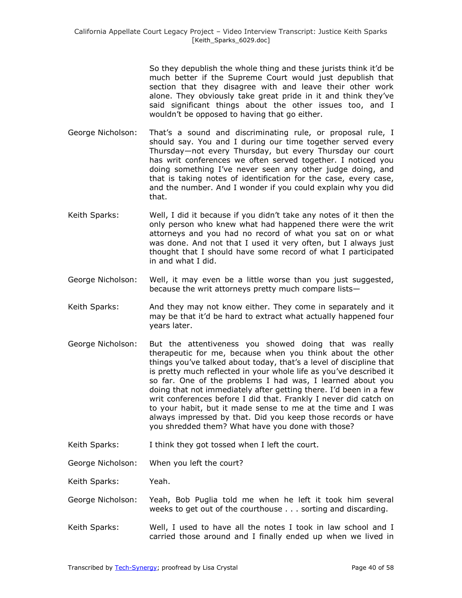So they depublish the whole thing and these jurists think it'd be much better if the Supreme Court would just depublish that section that they disagree with and leave their other work alone. They obviously take great pride in it and think they've said significant things about the other issues too, and I wouldn't be opposed to having that go either.

- George Nicholson: That's a sound and discriminating rule, or proposal rule, I should say. You and I during our time together served every Thursday—not every Thursday, but every Thursday our court has writ conferences we often served together. I noticed you doing something I've never seen any other judge doing, and that is taking notes of identification for the case, every case, and the number. And I wonder if you could explain why you did that.
- Keith Sparks: Well, I did it because if you didn't take any notes of it then the only person who knew what had happened there were the writ attorneys and you had no record of what you sat on or what was done. And not that I used it very often, but I always just thought that I should have some record of what I participated in and what I did.
- George Nicholson: Well, it may even be a little worse than you just suggested, because the writ attorneys pretty much compare lists—
- Keith Sparks: And they may not know either. They come in separately and it may be that it'd be hard to extract what actually happened four years later.
- George Nicholson: But the attentiveness you showed doing that was really therapeutic for me, because when you think about the other things you've talked about today, that's a level of discipline that is pretty much reflected in your whole life as you've described it so far. One of the problems I had was, I learned about you doing that not immediately after getting there. I'd been in a few writ conferences before I did that. Frankly I never did catch on to your habit, but it made sense to me at the time and I was always impressed by that. Did you keep those records or have you shredded them? What have you done with those?
- Keith Sparks: I think they got tossed when I left the court.

George Nicholson: When you left the court?

Keith Sparks: Yeah.

- George Nicholson: Yeah, Bob Puglia told me when he left it took him several weeks to get out of the courthouse . . . sorting and discarding.
- Keith Sparks: Well, I used to have all the notes I took in law school and I carried those around and I finally ended up when we lived in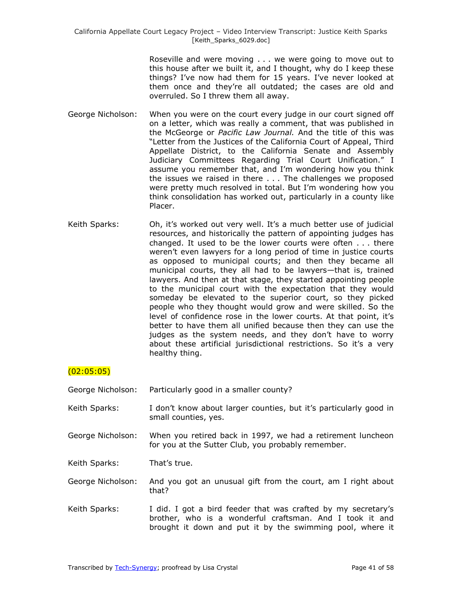Roseville and were moving . . . we were going to move out to this house after we built it, and I thought, why do I keep these things? I've now had them for 15 years. I've never looked at them once and they're all outdated; the cases are old and overruled. So I threw them all away.

- George Nicholson: When you were on the court every judge in our court signed off on a letter, which was really a comment, that was published in the McGeorge or *Pacific Law Journal.* And the title of this was "Letter from the Justices of the California Court of Appeal, Third Appellate District, to the California Senate and Assembly Judiciary Committees Regarding Trial Court Unification." I assume you remember that, and I'm wondering how you think the issues we raised in there . . . The challenges we proposed were pretty much resolved in total. But I'm wondering how you think consolidation has worked out, particularly in a county like Placer.
- Keith Sparks: Oh, it's worked out very well. It's a much better use of judicial resources, and historically the pattern of appointing judges has changed. It used to be the lower courts were often . . . there weren't even lawyers for a long period of time in justice courts as opposed to municipal courts; and then they became all municipal courts, they all had to be lawyers—that is, trained lawyers. And then at that stage, they started appointing people to the municipal court with the expectation that they would someday be elevated to the superior court, so they picked people who they thought would grow and were skilled. So the level of confidence rose in the lower courts. At that point, it's better to have them all unified because then they can use the judges as the system needs, and they don't have to worry about these artificial jurisdictional restrictions. So it's a very healthy thing.

# (02:05:05)

- George Nicholson: Particularly good in a smaller county?
- Keith Sparks: I don't know about larger counties, but it's particularly good in small counties, yes.
- George Nicholson: When you retired back in 1997, we had a retirement luncheon for you at the Sutter Club, you probably remember.

Keith Sparks: That's true.

- George Nicholson: And you got an unusual gift from the court, am I right about that?
- Keith Sparks: I did. I got a bird feeder that was crafted by my secretary's brother, who is a wonderful craftsman. And I took it and brought it down and put it by the swimming pool, where it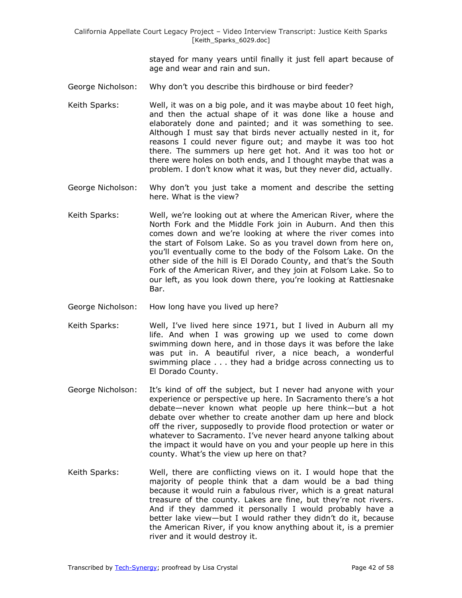> stayed for many years until finally it just fell apart because of age and wear and rain and sun.

- George Nicholson: Why don't you describe this birdhouse or bird feeder?
- Keith Sparks: Well, it was on a big pole, and it was maybe about 10 feet high, and then the actual shape of it was done like a house and elaborately done and painted; and it was something to see. Although I must say that birds never actually nested in it, for reasons I could never figure out; and maybe it was too hot there. The summers up here get hot. And it was too hot or there were holes on both ends, and I thought maybe that was a problem. I don't know what it was, but they never did, actually.
- George Nicholson: Why don't you just take a moment and describe the setting here. What is the view?
- Keith Sparks: Well, we're looking out at where the American River, where the North Fork and the Middle Fork join in Auburn. And then this comes down and we're looking at where the river comes into the start of Folsom Lake. So as you travel down from here on, you'll eventually come to the body of the Folsom Lake. On the other side of the hill is El Dorado County, and that's the South Fork of the American River, and they join at Folsom Lake. So to our left, as you look down there, you're looking at Rattlesnake Bar.
- George Nicholson: How long have you lived up here?
- Keith Sparks: Well, I've lived here since 1971, but I lived in Auburn all my life. And when I was growing up we used to come down swimming down here, and in those days it was before the lake was put in. A beautiful river, a nice beach, a wonderful swimming place . . . they had a bridge across connecting us to El Dorado County.
- George Nicholson: It's kind of off the subject, but I never had anyone with your experience or perspective up here. In Sacramento there's a hot debate—never known what people up here think—but a hot debate over whether to create another dam up here and block off the river, supposedly to provide flood protection or water or whatever to Sacramento. I've never heard anyone talking about the impact it would have on you and your people up here in this county. What's the view up here on that?
- Keith Sparks: Well, there are conflicting views on it. I would hope that the majority of people think that a dam would be a bad thing because it would ruin a fabulous river, which is a great natural treasure of the county. Lakes are fine, but they're not rivers. And if they dammed it personally I would probably have a better lake view—but I would rather they didn't do it, because the American River, if you know anything about it, is a premier river and it would destroy it.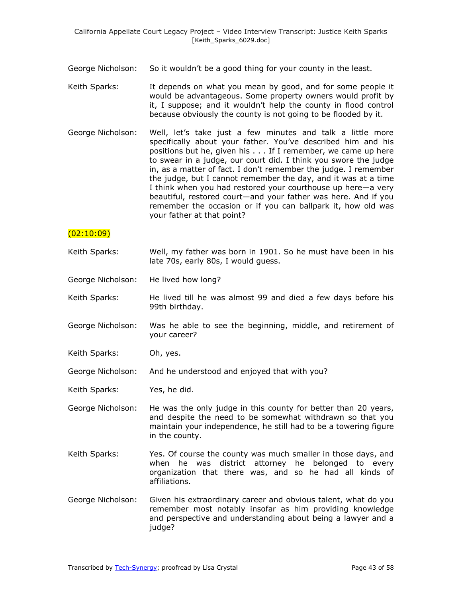- George Nicholson: So it wouldn't be a good thing for your county in the least.
- Keith Sparks: It depends on what you mean by good, and for some people it would be advantageous. Some property owners would profit by it, I suppose; and it wouldn't help the county in flood control because obviously the county is not going to be flooded by it.
- George Nicholson: Well, let's take just a few minutes and talk a little more specifically about your father. You've described him and his positions but he, given his . . . If I remember, we came up here to swear in a judge, our court did. I think you swore the judge in, as a matter of fact. I don't remember the judge. I remember the judge, but I cannot remember the day, and it was at a time I think when you had restored your courthouse up here—a very beautiful, restored court—and your father was here. And if you remember the occasion or if you can ballpark it, how old was your father at that point?

### $(02:10:09)$

- Keith Sparks: Well, my father was born in 1901. So he must have been in his late 70s, early 80s, I would guess.
- George Nicholson: He lived how long?
- Keith Sparks: He lived till he was almost 99 and died a few days before his 99th birthday.
- George Nicholson: Was he able to see the beginning, middle, and retirement of your career?
- Keith Sparks: Oh, yes.
- George Nicholson: And he understood and enjoyed that with you?
- Keith Sparks: Yes, he did.
- George Nicholson: He was the only judge in this county for better than 20 years, and despite the need to be somewhat withdrawn so that you maintain your independence, he still had to be a towering figure in the county.
- Keith Sparks: Yes. Of course the county was much smaller in those days, and when he was district attorney he belonged to every organization that there was, and so he had all kinds of affiliations.
- George Nicholson: Given his extraordinary career and obvious talent, what do you remember most notably insofar as him providing knowledge and perspective and understanding about being a lawyer and a judge?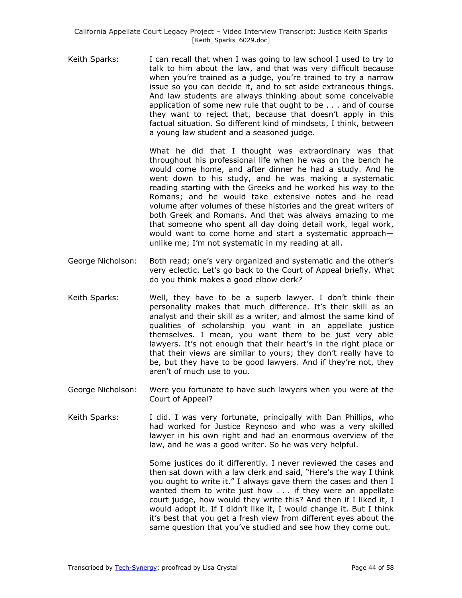Keith Sparks: I can recall that when I was going to law school I used to try to talk to him about the law, and that was very difficult because when you're trained as a judge, you're trained to try a narrow issue so you can decide it, and to set aside extraneous things. And law students are always thinking about some conceivable application of some new rule that ought to be . . . and of course they want to reject that, because that doesn't apply in this factual situation. So different kind of mindsets, I think, between a young law student and a seasoned judge.

> What he did that I thought was extraordinary was that throughout his professional life when he was on the bench he would come home, and after dinner he had a study. And he went down to his study, and he was making a systematic reading starting with the Greeks and he worked his way to the Romans; and he would take extensive notes and he read volume after volumes of these histories and the great writers of both Greek and Romans. And that was always amazing to me that someone who spent all day doing detail work, legal work, would want to come home and start a systematic approach unlike me; I'm not systematic in my reading at all.

- George Nicholson: Both read; one's very organized and systematic and the other's very eclectic. Let's go back to the Court of Appeal briefly. What do you think makes a good elbow clerk?
- Keith Sparks: Well, they have to be a superb lawyer. I don't think their personality makes that much difference. It's their skill as an analyst and their skill as a writer, and almost the same kind of qualities of scholarship you want in an appellate justice themselves. I mean, you want them to be just very able lawyers. It's not enough that their heart's in the right place or that their views are similar to yours; they don't really have to be, but they have to be good lawyers. And if they're not, they aren't of much use to you.
- George Nicholson: Were you fortunate to have such lawyers when you were at the Court of Appeal?
- Keith Sparks: I did. I was very fortunate, principally with Dan Phillips, who had worked for Justice Reynoso and who was a very skilled lawyer in his own right and had an enormous overview of the law, and he was a good writer. So he was very helpful.

Some justices do it differently. I never reviewed the cases and then sat down with a law clerk and said, "Here's the way I think you ought to write it." I always gave them the cases and then I wanted them to write just how . . . if they were an appellate court judge, how would they write this? And then if I liked it, I would adopt it. If I didn't like it, I would change it. But I think it's best that you get a fresh view from different eyes about the same question that you've studied and see how they come out.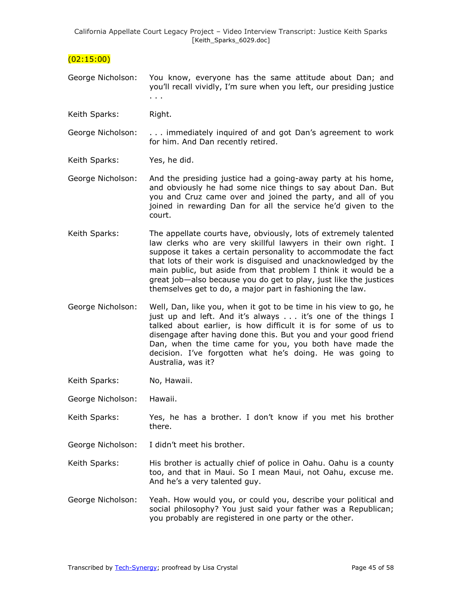$(02:15:00)$ 

- George Nicholson: You know, everyone has the same attitude about Dan; and you'll recall vividly, I'm sure when you left, our presiding justice . . .
- Keith Sparks: Right.
- George Nicholson: . . . immediately inquired of and got Dan's agreement to work for him. And Dan recently retired.
- Keith Sparks: Yes, he did.
- George Nicholson: And the presiding justice had a going-away party at his home, and obviously he had some nice things to say about Dan. But you and Cruz came over and joined the party, and all of you joined in rewarding Dan for all the service he'd given to the court.
- Keith Sparks: The appellate courts have, obviously, lots of extremely talented law clerks who are very skillful lawyers in their own right. I suppose it takes a certain personality to accommodate the fact that lots of their work is disguised and unacknowledged by the main public, but aside from that problem I think it would be a great job—also because you do get to play, just like the justices themselves get to do, a major part in fashioning the law.
- George Nicholson: Well, Dan, like you, when it got to be time in his view to go, he just up and left. And it's always . . . it's one of the things I talked about earlier, is how difficult it is for some of us to disengage after having done this. But you and your good friend Dan, when the time came for you, you both have made the decision. I've forgotten what he's doing. He was going to Australia, was it?
- Keith Sparks: No, Hawaii.
- George Nicholson: Hawaii.
- Keith Sparks: Yes, he has a brother. I don't know if you met his brother there.
- George Nicholson: I didn't meet his brother.
- Keith Sparks: His brother is actually chief of police in Oahu. Oahu is a county too, and that in Maui. So I mean Maui, not Oahu, excuse me. And he's a very talented guy.
- George Nicholson: Yeah. How would you, or could you, describe your political and social philosophy? You just said your father was a Republican; you probably are registered in one party or the other.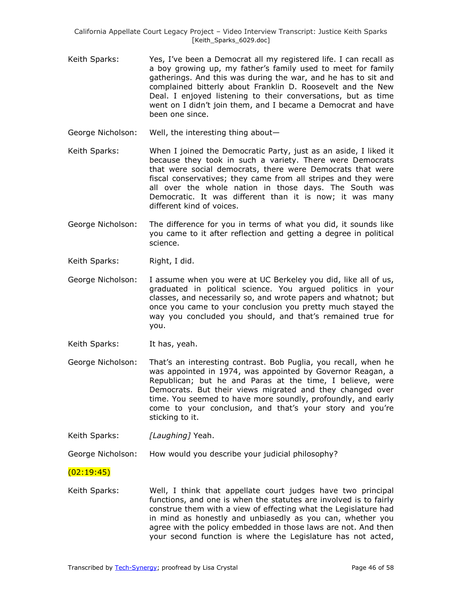- Keith Sparks: Yes, I've been a Democrat all my registered life. I can recall as a boy growing up, my father's family used to meet for family gatherings. And this was during the war, and he has to sit and complained bitterly about Franklin D. Roosevelt and the New Deal. I enjoyed listening to their conversations, but as time went on I didn't join them, and I became a Democrat and have been one since.
- George Nicholson: Well, the interesting thing about—
- Keith Sparks: When I joined the Democratic Party, just as an aside, I liked it because they took in such a variety. There were Democrats that were social democrats, there were Democrats that were fiscal conservatives; they came from all stripes and they were all over the whole nation in those days. The South was Democratic. It was different than it is now; it was many different kind of voices.
- George Nicholson: The difference for you in terms of what you did, it sounds like you came to it after reflection and getting a degree in political science.
- Keith Sparks: Right, I did.
- George Nicholson: I assume when you were at UC Berkeley you did, like all of us, graduated in political science. You argued politics in your classes, and necessarily so, and wrote papers and whatnot; but once you came to your conclusion you pretty much stayed the way you concluded you should, and that's remained true for you.
- Keith Sparks: It has, yeah.
- George Nicholson: That's an interesting contrast. Bob Puglia, you recall, when he was appointed in 1974, was appointed by Governor Reagan, a Republican; but he and Paras at the time, I believe, were Democrats. But their views migrated and they changed over time. You seemed to have more soundly, profoundly, and early come to your conclusion, and that's your story and you're sticking to it.

Keith Sparks: *[Laughing]* Yeah.

George Nicholson: How would you describe your judicial philosophy?

### $(02:19:45)$

Keith Sparks: Well, I think that appellate court judges have two principal functions, and one is when the statutes are involved is to fairly construe them with a view of effecting what the Legislature had in mind as honestly and unbiasedly as you can, whether you agree with the policy embedded in those laws are not. And then your second function is where the Legislature has not acted,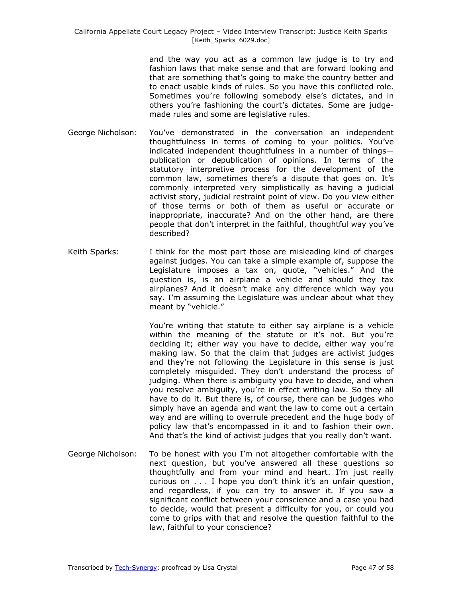and the way you act as a common law judge is to try and fashion laws that make sense and that are forward looking and that are something that's going to make the country better and to enact usable kinds of rules. So you have this conflicted role. Sometimes you're following somebody else's dictates, and in others you're fashioning the court's dictates. Some are judgemade rules and some are legislative rules.

- George Nicholson: You've demonstrated in the conversation an independent thoughtfulness in terms of coming to your politics. You've indicated independent thoughtfulness in a number of things publication or depublication of opinions. In terms of the statutory interpretive process for the development of the common law, sometimes there's a dispute that goes on. It's commonly interpreted very simplistically as having a judicial activist story, judicial restraint point of view. Do you view either of those terms or both of them as useful or accurate or inappropriate, inaccurate? And on the other hand, are there people that don't interpret in the faithful, thoughtful way you've described?
- Keith Sparks: I think for the most part those are misleading kind of charges against judges. You can take a simple example of, suppose the Legislature imposes a tax on, quote, "vehicles." And the question is, is an airplane a vehicle and should they tax airplanes? And it doesn't make any difference which way you say. I'm assuming the Legislature was unclear about what they meant by "vehicle."

You're writing that statute to either say airplane is a vehicle within the meaning of the statute or it's not. But you're deciding it; either way you have to decide, either way you're making law. So that the claim that judges are activist judges and they're not following the Legislature in this sense is just completely misguided. They don't understand the process of judging. When there is ambiguity you have to decide, and when you resolve ambiguity, you're in effect writing law. So they all have to do it. But there is, of course, there can be judges who simply have an agenda and want the law to come out a certain way and are willing to overrule precedent and the huge body of policy law that's encompassed in it and to fashion their own. And that's the kind of activist judges that you really don't want.

George Nicholson: To be honest with you I'm not altogether comfortable with the next question, but you've answered all these questions so thoughtfully and from your mind and heart. I'm just really curious on . . . I hope you don't think it's an unfair question, and regardless, if you can try to answer it. If you saw a significant conflict between your conscience and a case you had to decide, would that present a difficulty for you, or could you come to grips with that and resolve the question faithful to the law, faithful to your conscience?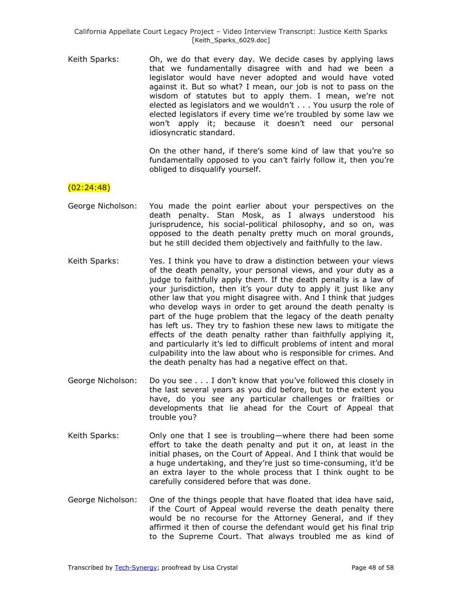Keith Sparks: Oh, we do that every day. We decide cases by applying laws that we fundamentally disagree with and had we been a legislator would have never adopted and would have voted against it. But so what? I mean, our job is not to pass on the wisdom of statutes but to apply them. I mean, we're not elected as legislators and we wouldn't . . . You usurp the role of elected legislators if every time we're troubled by some law we won't apply it; because it doesn't need our personal idiosyncratic standard.

> On the other hand, if there's some kind of law that you're so fundamentally opposed to you can't fairly follow it, then you're obliged to disqualify yourself.

### (02:24:48)

- George Nicholson: You made the point earlier about your perspectives on the death penalty. Stan Mosk, as I always understood his jurisprudence, his social-political philosophy, and so on, was opposed to the death penalty pretty much on moral grounds, but he still decided them objectively and faithfully to the law.
- Keith Sparks: Yes. I think you have to draw a distinction between your views of the death penalty, your personal views, and your duty as a judge to faithfully apply them. If the death penalty is a law of your jurisdiction, then it's your duty to apply it just like any other law that you might disagree with. And I think that judges who develop ways in order to get around the death penalty is part of the huge problem that the legacy of the death penalty has left us. They try to fashion these new laws to mitigate the effects of the death penalty rather than faithfully applying it, and particularly it's led to difficult problems of intent and moral culpability into the law about who is responsible for crimes. And the death penalty has had a negative effect on that.
- George Nicholson: Do you see . . . I don't know that you've followed this closely in the last several years as you did before, but to the extent you have, do you see any particular challenges or frailties or developments that lie ahead for the Court of Appeal that trouble you?
- Keith Sparks: Only one that I see is troubling—where there had been some effort to take the death penalty and put it on, at least in the initial phases, on the Court of Appeal. And I think that would be a huge undertaking, and they're just so time-consuming, it'd be an extra layer to the whole process that I think ought to be carefully considered before that was done.
- George Nicholson: One of the things people that have floated that idea have said, if the Court of Appeal would reverse the death penalty there would be no recourse for the Attorney General, and if they affirmed it then of course the defendant would get his final trip to the Supreme Court. That always troubled me as kind of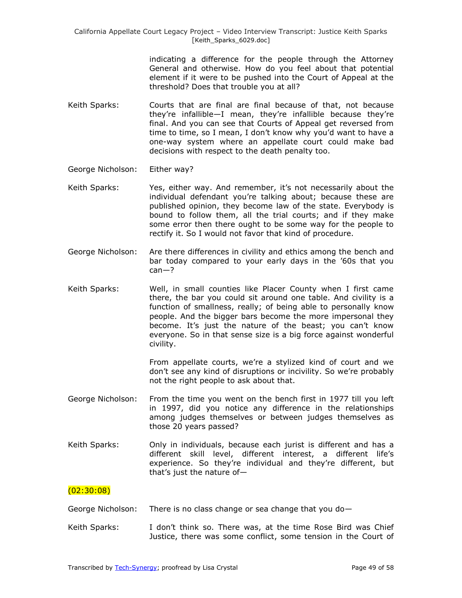> indicating a difference for the people through the Attorney General and otherwise. How do you feel about that potential element if it were to be pushed into the Court of Appeal at the threshold? Does that trouble you at all?

- Keith Sparks: Courts that are final are final because of that, not because they're infallible—I mean, they're infallible because they're final. And you can see that Courts of Appeal get reversed from time to time, so I mean, I don't know why you'd want to have a one-way system where an appellate court could make bad decisions with respect to the death penalty too.
- George Nicholson: Either way?
- Keith Sparks: Yes, either way. And remember, it's not necessarily about the individual defendant you're talking about; because these are published opinion, they become law of the state. Everybody is bound to follow them, all the trial courts; and if they make some error then there ought to be some way for the people to rectify it. So I would not favor that kind of procedure.
- George Nicholson: Are there differences in civility and ethics among the bench and bar today compared to your early days in the '60s that you can—?
- Keith Sparks: Well, in small counties like Placer County when I first came there, the bar you could sit around one table. And civility is a function of smallness, really; of being able to personally know people. And the bigger bars become the more impersonal they become. It's just the nature of the beast; you can't know everyone. So in that sense size is a big force against wonderful civility.

From appellate courts, we're a stylized kind of court and we don't see any kind of disruptions or incivility. So we're probably not the right people to ask about that.

- George Nicholson: From the time you went on the bench first in 1977 till you left in 1997, did you notice any difference in the relationships among judges themselves or between judges themselves as those 20 years passed?
- Keith Sparks: Only in individuals, because each jurist is different and has a different skill level, different interest, a different life's experience. So they're individual and they're different, but that's just the nature of—

### (02:30:08)

George Nicholson: There is no class change or sea change that you do—

Keith Sparks: I don't think so. There was, at the time Rose Bird was Chief Justice, there was some conflict, some tension in the Court of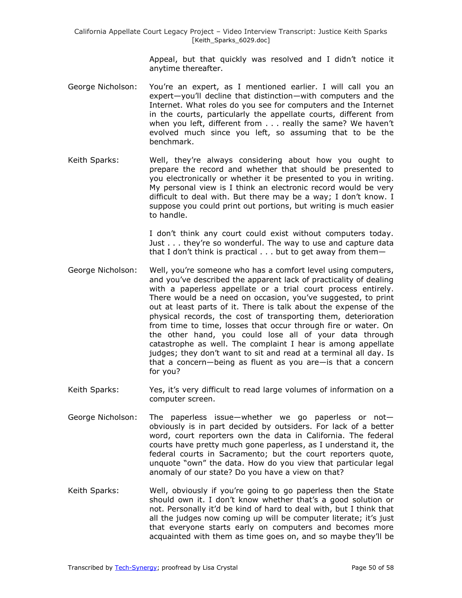> Appeal, but that quickly was resolved and I didn't notice it anytime thereafter.

- George Nicholson: You're an expert, as I mentioned earlier. I will call you an expert—you'll decline that distinction—with computers and the Internet. What roles do you see for computers and the Internet in the courts, particularly the appellate courts, different from when you left, different from . . . really the same? We haven't evolved much since you left, so assuming that to be the benchmark.
- Keith Sparks: Well, they're always considering about how you ought to prepare the record and whether that should be presented to you electronically or whether it be presented to you in writing. My personal view is I think an electronic record would be very difficult to deal with. But there may be a way; I don't know. I suppose you could print out portions, but writing is much easier to handle.

I don't think any court could exist without computers today. Just . . . they're so wonderful. The way to use and capture data that I don't think is practical . . . but to get away from them—

- George Nicholson: Well, you're someone who has a comfort level using computers, and you've described the apparent lack of practicality of dealing with a paperless appellate or a trial court process entirely. There would be a need on occasion, you've suggested, to print out at least parts of it. There is talk about the expense of the physical records, the cost of transporting them, deterioration from time to time, losses that occur through fire or water. On the other hand, you could lose all of your data through catastrophe as well. The complaint I hear is among appellate judges; they don't want to sit and read at a terminal all day. Is that a concern—being as fluent as you are—is that a concern for you?
- Keith Sparks: Yes, it's very difficult to read large volumes of information on a computer screen.
- George Nicholson: The paperless issue—whether we go paperless or not obviously is in part decided by outsiders. For lack of a better word, court reporters own the data in California. The federal courts have pretty much gone paperless, as I understand it, the federal courts in Sacramento; but the court reporters quote, unquote "own" the data. How do you view that particular legal anomaly of our state? Do you have a view on that?
- Keith Sparks: Well, obviously if you're going to go paperless then the State should own it. I don't know whether that's a good solution or not. Personally it'd be kind of hard to deal with, but I think that all the judges now coming up will be computer literate; it's just that everyone starts early on computers and becomes more acquainted with them as time goes on, and so maybe they'll be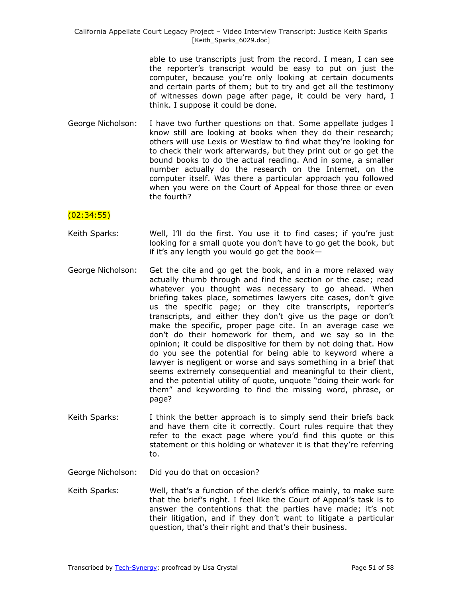> able to use transcripts just from the record. I mean, I can see the reporter's transcript would be easy to put on just the computer, because you're only looking at certain documents and certain parts of them; but to try and get all the testimony of witnesses down page after page, it could be very hard, I think. I suppose it could be done.

George Nicholson: I have two further questions on that. Some appellate judges I know still are looking at books when they do their research; others will use Lexis or Westlaw to find what they're looking for to check their work afterwards, but they print out or go get the bound books to do the actual reading. And in some, a smaller number actually do the research on the Internet, on the computer itself. Was there a particular approach you followed when you were on the Court of Appeal for those three or even the fourth?

#### (02:34:55)

- Keith Sparks: Well, I'll do the first. You use it to find cases; if you're just looking for a small quote you don't have to go get the book, but if it's any length you would go get the book—
- George Nicholson: Get the cite and go get the book, and in a more relaxed way actually thumb through and find the section or the case; read whatever you thought was necessary to go ahead. When briefing takes place, sometimes lawyers cite cases, don't give us the specific page; or they cite transcripts, reporter's transcripts, and either they don't give us the page or don't make the specific, proper page cite. In an average case we don't do their homework for them, and we say so in the opinion; it could be dispositive for them by not doing that. How do you see the potential for being able to keyword where a lawyer is negligent or worse and says something in a brief that seems extremely consequential and meaningful to their client, and the potential utility of quote, unquote "doing their work for them‖ and keywording to find the missing word, phrase, or page?
- Keith Sparks: I think the better approach is to simply send their briefs back and have them cite it correctly. Court rules require that they refer to the exact page where you'd find this quote or this statement or this holding or whatever it is that they're referring to.

George Nicholson: Did you do that on occasion?

Keith Sparks: Well, that's a function of the clerk's office mainly, to make sure that the brief's right. I feel like the Court of Appeal's task is to answer the contentions that the parties have made; it's not their litigation, and if they don't want to litigate a particular question, that's their right and that's their business.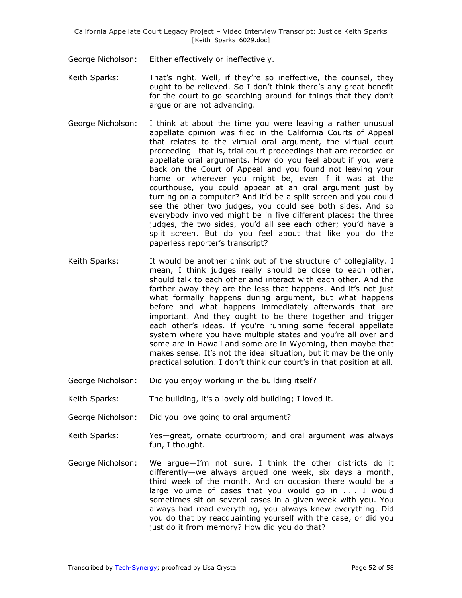George Nicholson: Either effectively or ineffectively.

- Keith Sparks: That's right. Well, if they're so ineffective, the counsel, they ought to be relieved. So I don't think there's any great benefit for the court to go searching around for things that they don't argue or are not advancing.
- George Nicholson: I think at about the time you were leaving a rather unusual appellate opinion was filed in the California Courts of Appeal that relates to the virtual oral argument, the virtual court proceeding—that is, trial court proceedings that are recorded or appellate oral arguments. How do you feel about if you were back on the Court of Appeal and you found not leaving your home or wherever you might be, even if it was at the courthouse, you could appear at an oral argument just by turning on a computer? And it'd be a split screen and you could see the other two judges, you could see both sides. And so everybody involved might be in five different places: the three judges, the two sides, you'd all see each other; you'd have a split screen. But do you feel about that like you do the paperless reporter's transcript?
- Keith Sparks: It would be another chink out of the structure of collegiality. I mean, I think judges really should be close to each other, should talk to each other and interact with each other. And the farther away they are the less that happens. And it's not just what formally happens during argument, but what happens before and what happens immediately afterwards that are important. And they ought to be there together and trigger each other's ideas. If you're running some federal appellate system where you have multiple states and you're all over and some are in Hawaii and some are in Wyoming, then maybe that makes sense. It's not the ideal situation, but it may be the only practical solution. I don't think our court's in that position at all.
- George Nicholson: Did you enjoy working in the building itself?
- Keith Sparks: The building, it's a lovely old building; I loved it.
- George Nicholson: Did you love going to oral argument?
- Keith Sparks: Yes—great, ornate courtroom; and oral argument was always fun, I thought.
- George Nicholson: We argue—I'm not sure, I think the other districts do it differently—we always argued one week, six days a month, third week of the month. And on occasion there would be a large volume of cases that you would go in . . . I would sometimes sit on several cases in a given week with you. You always had read everything, you always knew everything. Did you do that by reacquainting yourself with the case, or did you just do it from memory? How did you do that?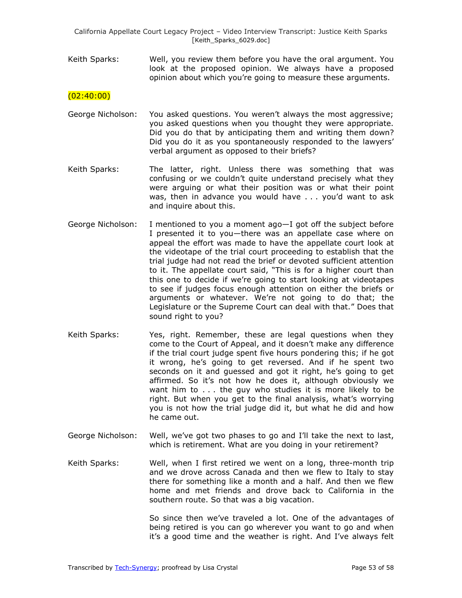Keith Sparks: Well, you review them before you have the oral argument. You look at the proposed opinion. We always have a proposed opinion about which you're going to measure these arguments.

### $(02:40:00)$

- George Nicholson: You asked questions. You weren't always the most aggressive; you asked questions when you thought they were appropriate. Did you do that by anticipating them and writing them down? Did you do it as you spontaneously responded to the lawyers' verbal argument as opposed to their briefs?
- Keith Sparks: The latter, right. Unless there was something that was confusing or we couldn't quite understand precisely what they were arguing or what their position was or what their point was, then in advance you would have . . . you'd want to ask and inquire about this.
- George Nicholson: I mentioned to you a moment ago—I got off the subject before I presented it to you—there was an appellate case where on appeal the effort was made to have the appellate court look at the videotape of the trial court proceeding to establish that the trial judge had not read the brief or devoted sufficient attention to it. The appellate court said, "This is for a higher court than this one to decide if we're going to start looking at videotapes to see if judges focus enough attention on either the briefs or arguments or whatever. We're not going to do that; the Legislature or the Supreme Court can deal with that." Does that sound right to you?
- Keith Sparks: Yes, right. Remember, these are legal questions when they come to the Court of Appeal, and it doesn't make any difference if the trial court judge spent five hours pondering this; if he got it wrong, he's going to get reversed. And if he spent two seconds on it and guessed and got it right, he's going to get affirmed. So it's not how he does it, although obviously we want him to . . . the guy who studies it is more likely to be right. But when you get to the final analysis, what's worrying you is not how the trial judge did it, but what he did and how he came out.
- George Nicholson: Well, we've got two phases to go and I'll take the next to last, which is retirement. What are you doing in your retirement?
- Keith Sparks: Well, when I first retired we went on a long, three-month trip and we drove across Canada and then we flew to Italy to stay there for something like a month and a half. And then we flew home and met friends and drove back to California in the southern route. So that was a big vacation.

So since then we've traveled a lot. One of the advantages of being retired is you can go wherever you want to go and when it's a good time and the weather is right. And I've always felt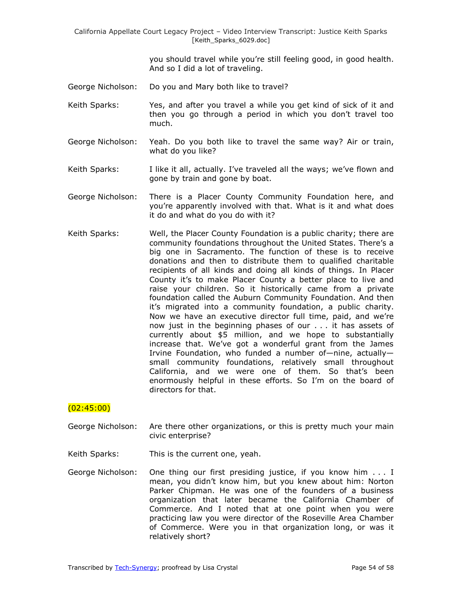> you should travel while you're still feeling good, in good health. And so I did a lot of traveling.

- George Nicholson: Do you and Mary both like to travel?
- Keith Sparks: Yes, and after you travel a while you get kind of sick of it and then you go through a period in which you don't travel too much.
- George Nicholson: Yeah. Do you both like to travel the same way? Air or train, what do you like?
- Keith Sparks: I like it all, actually. I've traveled all the ways; we've flown and gone by train and gone by boat.
- George Nicholson: There is a Placer County Community Foundation here, and you're apparently involved with that. What is it and what does it do and what do you do with it?
- Keith Sparks: Well, the Placer County Foundation is a public charity; there are community foundations throughout the United States. There's a big one in Sacramento. The function of these is to receive donations and then to distribute them to qualified charitable recipients of all kinds and doing all kinds of things. In Placer County it's to make Placer County a better place to live and raise your children. So it historically came from a private foundation called the Auburn Community Foundation. And then it's migrated into a community foundation, a public charity. Now we have an executive director full time, paid, and we're now just in the beginning phases of our . . . it has assets of currently about \$5 million, and we hope to substantially increase that. We've got a wonderful grant from the James Irvine Foundation, who funded a number of—nine, actually small community foundations, relatively small throughout California, and we were one of them. So that's been enormously helpful in these efforts. So I'm on the board of directors for that.

#### $(02:45:00)$

- George Nicholson: Are there other organizations, or this is pretty much your main civic enterprise?
- Keith Sparks: This is the current one, yeah.
- George Nicholson: One thing our first presiding justice, if you know him . . . I mean, you didn't know him, but you knew about him: Norton Parker Chipman. He was one of the founders of a business organization that later became the California Chamber of Commerce. And I noted that at one point when you were practicing law you were director of the Roseville Area Chamber of Commerce. Were you in that organization long, or was it relatively short?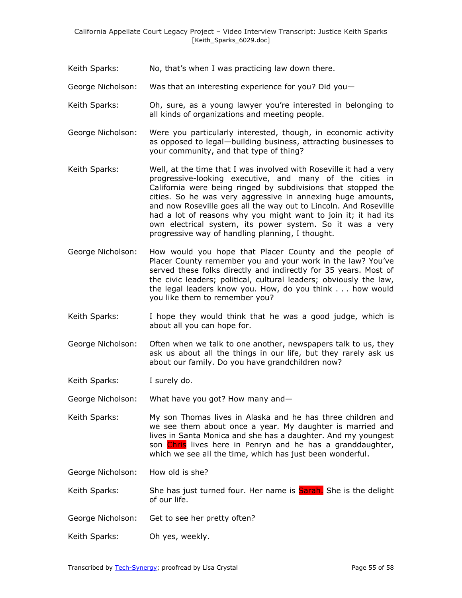- Keith Sparks: No, that's when I was practicing law down there.
- George Nicholson: Was that an interesting experience for you? Did you—
- Keith Sparks: Oh, sure, as a young lawyer you're interested in belonging to all kinds of organizations and meeting people.
- George Nicholson: Were you particularly interested, though, in economic activity as opposed to legal—building business, attracting businesses to your community, and that type of thing?
- Keith Sparks: Well, at the time that I was involved with Roseville it had a very progressive-looking executive, and many of the cities in California were being ringed by subdivisions that stopped the cities. So he was very aggressive in annexing huge amounts, and now Roseville goes all the way out to Lincoln. And Roseville had a lot of reasons why you might want to join it; it had its own electrical system, its power system. So it was a very progressive way of handling planning, I thought.
- George Nicholson: How would you hope that Placer County and the people of Placer County remember you and your work in the law? You've served these folks directly and indirectly for 35 years. Most of the civic leaders; political, cultural leaders; obviously the law, the legal leaders know you. How, do you think . . . how would you like them to remember you?
- Keith Sparks: I hope they would think that he was a good judge, which is about all you can hope for.
- George Nicholson: Often when we talk to one another, newspapers talk to us, they ask us about all the things in our life, but they rarely ask us about our family. Do you have grandchildren now?

Keith Sparks: I surely do.

George Nicholson: What have you got? How many and—

Keith Sparks: My son Thomas lives in Alaska and he has three children and we see them about once a year. My daughter is married and lives in Santa Monica and she has a daughter. And my youngest son Chris lives here in Penryn and he has a granddaughter, which we see all the time, which has just been wonderful.

George Nicholson: How old is she?

Keith Sparks: She has just turned four. Her name is Sarah. She is the delight of our life.

- George Nicholson: Get to see her pretty often?
- Keith Sparks: Oh yes, weekly.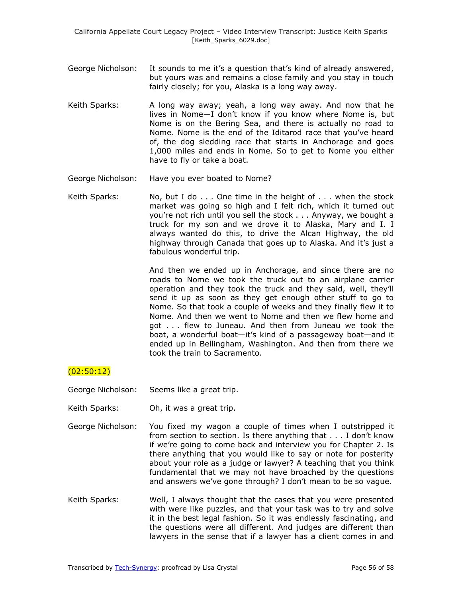- George Nicholson: It sounds to me it's a question that's kind of already answered, but yours was and remains a close family and you stay in touch fairly closely; for you, Alaska is a long way away.
- Keith Sparks: A long way away; yeah, a long way away. And now that he lives in Nome—I don't know if you know where Nome is, but Nome is on the Bering Sea, and there is actually no road to Nome. Nome is the end of the Iditarod race that you've heard of, the dog sledding race that starts in Anchorage and goes 1,000 miles and ends in Nome. So to get to Nome you either have to fly or take a boat.
- George Nicholson: Have you ever boated to Nome?
- Keith Sparks: No, but I do . . . One time in the height of . . . when the stock market was going so high and I felt rich, which it turned out you're not rich until you sell the stock . . . Anyway, we bought a truck for my son and we drove it to Alaska, Mary and I. I always wanted do this, to drive the Alcan Highway, the old highway through Canada that goes up to Alaska. And it's just a fabulous wonderful trip.

And then we ended up in Anchorage, and since there are no roads to Nome we took the truck out to an airplane carrier operation and they took the truck and they said, well, they'll send it up as soon as they get enough other stuff to go to Nome. So that took a couple of weeks and they finally flew it to Nome. And then we went to Nome and then we flew home and got . . . flew to Juneau. And then from Juneau we took the boat, a wonderful boat—it's kind of a passageway boat—and it ended up in Bellingham, Washington. And then from there we took the train to Sacramento.

### (02:50:12)

George Nicholson: Seems like a great trip.

- Keith Sparks: Oh, it was a great trip.
- George Nicholson: You fixed my wagon a couple of times when I outstripped it from section to section. Is there anything that . . . I don't know if we're going to come back and interview you for Chapter 2. Is there anything that you would like to say or note for posterity about your role as a judge or lawyer? A teaching that you think fundamental that we may not have broached by the questions and answers we've gone through? I don't mean to be so vague.
- Keith Sparks: Well, I always thought that the cases that you were presented with were like puzzles, and that your task was to try and solve it in the best legal fashion. So it was endlessly fascinating, and the questions were all different. And judges are different than lawyers in the sense that if a lawyer has a client comes in and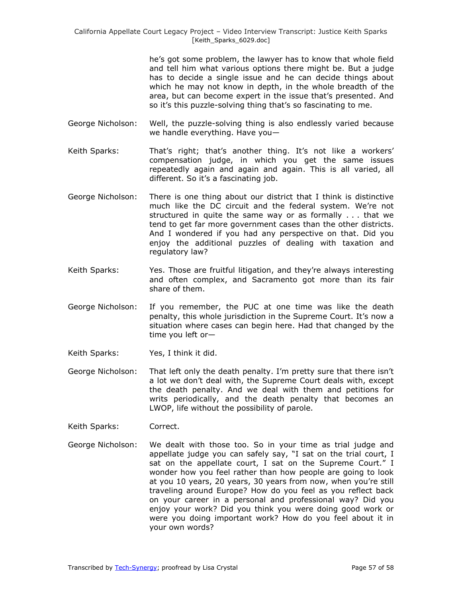> he's got some problem, the lawyer has to know that whole field and tell him what various options there might be. But a judge has to decide a single issue and he can decide things about which he may not know in depth, in the whole breadth of the area, but can become expert in the issue that's presented. And so it's this puzzle-solving thing that's so fascinating to me.

- George Nicholson: Well, the puzzle-solving thing is also endlessly varied because we handle everything. Have you—
- Keith Sparks: That's right; that's another thing. It's not like a workers' compensation judge, in which you get the same issues repeatedly again and again and again. This is all varied, all different. So it's a fascinating job.
- George Nicholson: There is one thing about our district that I think is distinctive much like the DC circuit and the federal system. We're not structured in quite the same way or as formally . . . that we tend to get far more government cases than the other districts. And I wondered if you had any perspective on that. Did you enjoy the additional puzzles of dealing with taxation and regulatory law?
- Keith Sparks: Yes. Those are fruitful litigation, and they're always interesting and often complex, and Sacramento got more than its fair share of them.
- George Nicholson: If you remember, the PUC at one time was like the death penalty, this whole jurisdiction in the Supreme Court. It's now a situation where cases can begin here. Had that changed by the time you left or—
- Keith Sparks: Yes, I think it did.
- George Nicholson: That left only the death penalty. I'm pretty sure that there isn't a lot we don't deal with, the Supreme Court deals with, except the death penalty. And we deal with them and petitions for writs periodically, and the death penalty that becomes an LWOP, life without the possibility of parole.
- Keith Sparks: Correct.
- George Nicholson: We dealt with those too. So in your time as trial judge and appellate judge you can safely say, "I sat on the trial court, I sat on the appellate court, I sat on the Supreme Court." I wonder how you feel rather than how people are going to look at you 10 years, 20 years, 30 years from now, when you're still traveling around Europe? How do you feel as you reflect back on your career in a personal and professional way? Did you enjoy your work? Did you think you were doing good work or were you doing important work? How do you feel about it in your own words?